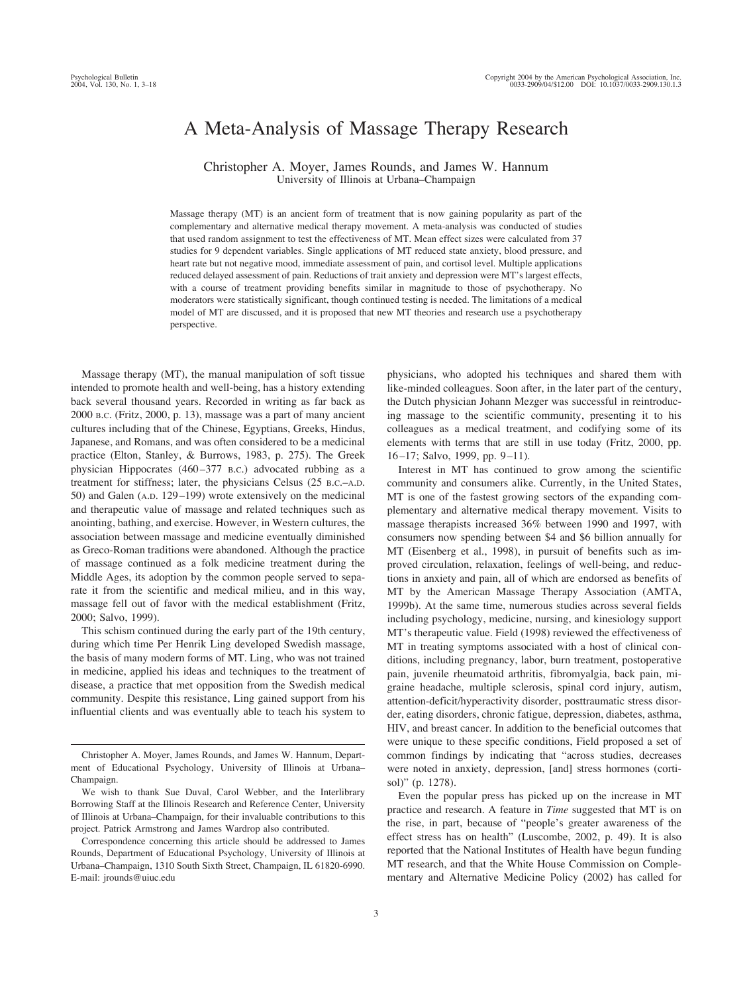# A Meta-Analysis of Massage Therapy Research

Christopher A. Moyer, James Rounds, and James W. Hannum University of Illinois at Urbana–Champaign

Massage therapy (MT) is an ancient form of treatment that is now gaining popularity as part of the complementary and alternative medical therapy movement. A meta-analysis was conducted of studies that used random assignment to test the effectiveness of MT. Mean effect sizes were calculated from 37 studies for 9 dependent variables. Single applications of MT reduced state anxiety, blood pressure, and heart rate but not negative mood, immediate assessment of pain, and cortisol level. Multiple applications reduced delayed assessment of pain. Reductions of trait anxiety and depression were MT's largest effects, with a course of treatment providing benefits similar in magnitude to those of psychotherapy. No moderators were statistically significant, though continued testing is needed. The limitations of a medical model of MT are discussed, and it is proposed that new MT theories and research use a psychotherapy perspective.

Massage therapy (MT), the manual manipulation of soft tissue intended to promote health and well-being, has a history extending back several thousand years. Recorded in writing as far back as 2000 B.C. (Fritz, 2000, p. 13), massage was a part of many ancient cultures including that of the Chinese, Egyptians, Greeks, Hindus, Japanese, and Romans, and was often considered to be a medicinal practice (Elton, Stanley, & Burrows, 1983, p. 275). The Greek physician Hippocrates (460–377 B.C.) advocated rubbing as a treatment for stiffness; later, the physicians Celsus (25 B.C.–A.D. 50) and Galen (A.D. 129–199) wrote extensively on the medicinal and therapeutic value of massage and related techniques such as anointing, bathing, and exercise. However, in Western cultures, the association between massage and medicine eventually diminished as Greco-Roman traditions were abandoned. Although the practice of massage continued as a folk medicine treatment during the Middle Ages, its adoption by the common people served to separate it from the scientific and medical milieu, and in this way, massage fell out of favor with the medical establishment (Fritz, 2000; Salvo, 1999).

This schism continued during the early part of the 19th century, during which time Per Henrik Ling developed Swedish massage, the basis of many modern forms of MT. Ling, who was not trained in medicine, applied his ideas and techniques to the treatment of disease, a practice that met opposition from the Swedish medical community. Despite this resistance, Ling gained support from his influential clients and was eventually able to teach his system to physicians, who adopted his techniques and shared them with like-minded colleagues. Soon after, in the later part of the century, the Dutch physician Johann Mezger was successful in reintroducing massage to the scientific community, presenting it to his colleagues as a medical treatment, and codifying some of its elements with terms that are still in use today (Fritz, 2000, pp. 16–17; Salvo, 1999, pp. 9–11).

Interest in MT has continued to grow among the scientific community and consumers alike. Currently, in the United States, MT is one of the fastest growing sectors of the expanding complementary and alternative medical therapy movement. Visits to massage therapists increased 36% between 1990 and 1997, with consumers now spending between \$4 and \$6 billion annually for MT (Eisenberg et al., 1998), in pursuit of benefits such as improved circulation, relaxation, feelings of well-being, and reductions in anxiety and pain, all of which are endorsed as benefits of MT by the American Massage Therapy Association (AMTA, 1999b). At the same time, numerous studies across several fields including psychology, medicine, nursing, and kinesiology support MT's therapeutic value. Field (1998) reviewed the effectiveness of MT in treating symptoms associated with a host of clinical conditions, including pregnancy, labor, burn treatment, postoperative pain, juvenile rheumatoid arthritis, fibromyalgia, back pain, migraine headache, multiple sclerosis, spinal cord injury, autism, attention-deficit/hyperactivity disorder, posttraumatic stress disorder, eating disorders, chronic fatigue, depression, diabetes, asthma, HIV, and breast cancer. In addition to the beneficial outcomes that were unique to these specific conditions, Field proposed a set of common findings by indicating that "across studies, decreases were noted in anxiety, depression, [and] stress hormones (cortisol)" (p. 1278).

Even the popular press has picked up on the increase in MT practice and research. A feature in *Time* suggested that MT is on the rise, in part, because of "people's greater awareness of the effect stress has on health" (Luscombe, 2002, p. 49). It is also reported that the National Institutes of Health have begun funding MT research, and that the White House Commission on Complementary and Alternative Medicine Policy (2002) has called for

Christopher A. Moyer, James Rounds, and James W. Hannum, Department of Educational Psychology, University of Illinois at Urbana– Champaign.

We wish to thank Sue Duval, Carol Webber, and the Interlibrary Borrowing Staff at the Illinois Research and Reference Center, University of Illinois at Urbana–Champaign, for their invaluable contributions to this project. Patrick Armstrong and James Wardrop also contributed.

Correspondence concerning this article should be addressed to James Rounds, Department of Educational Psychology, University of Illinois at Urbana–Champaign, 1310 South Sixth Street, Champaign, IL 61820-6990. E-mail: jrounds@uiuc.edu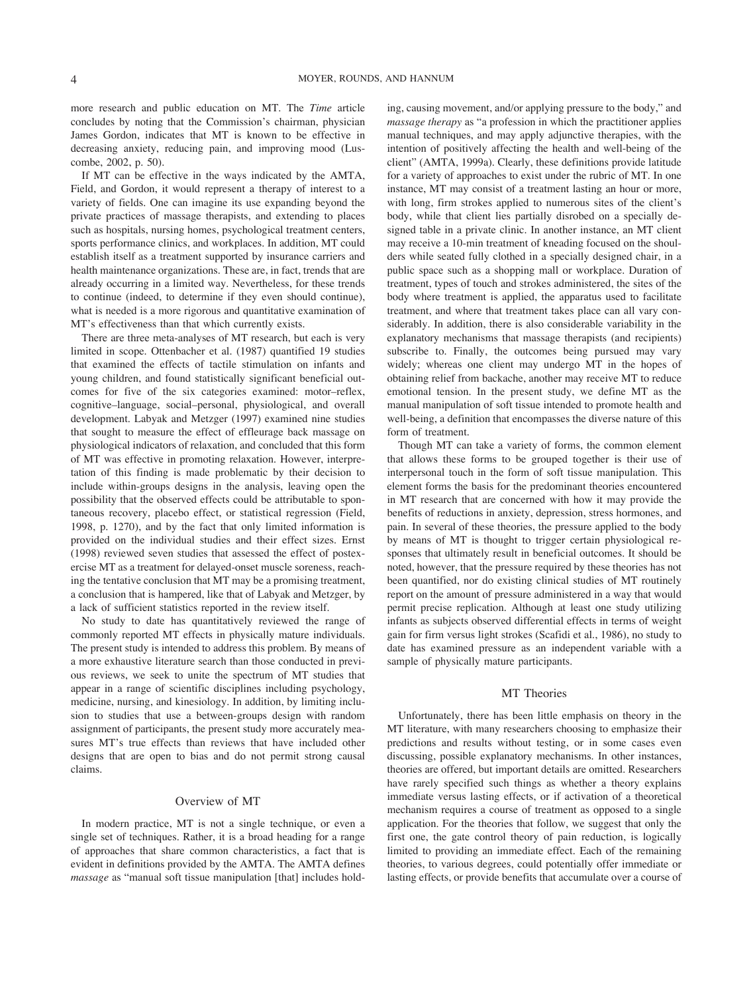more research and public education on MT. The *Time* article concludes by noting that the Commission's chairman, physician James Gordon, indicates that MT is known to be effective in decreasing anxiety, reducing pain, and improving mood (Luscombe, 2002, p. 50).

If MT can be effective in the ways indicated by the AMTA, Field, and Gordon, it would represent a therapy of interest to a variety of fields. One can imagine its use expanding beyond the private practices of massage therapists, and extending to places such as hospitals, nursing homes, psychological treatment centers, sports performance clinics, and workplaces. In addition, MT could establish itself as a treatment supported by insurance carriers and health maintenance organizations. These are, in fact, trends that are already occurring in a limited way. Nevertheless, for these trends to continue (indeed, to determine if they even should continue), what is needed is a more rigorous and quantitative examination of MT's effectiveness than that which currently exists.

There are three meta-analyses of MT research, but each is very limited in scope. Ottenbacher et al. (1987) quantified 19 studies that examined the effects of tactile stimulation on infants and young children, and found statistically significant beneficial outcomes for five of the six categories examined: motor–reflex, cognitive–language, social–personal, physiological, and overall development. Labyak and Metzger (1997) examined nine studies that sought to measure the effect of effleurage back massage on physiological indicators of relaxation, and concluded that this form of MT was effective in promoting relaxation. However, interpretation of this finding is made problematic by their decision to include within-groups designs in the analysis, leaving open the possibility that the observed effects could be attributable to spontaneous recovery, placebo effect, or statistical regression (Field, 1998, p. 1270), and by the fact that only limited information is provided on the individual studies and their effect sizes. Ernst (1998) reviewed seven studies that assessed the effect of postexercise MT as a treatment for delayed-onset muscle soreness, reaching the tentative conclusion that MT may be a promising treatment, a conclusion that is hampered, like that of Labyak and Metzger, by a lack of sufficient statistics reported in the review itself.

No study to date has quantitatively reviewed the range of commonly reported MT effects in physically mature individuals. The present study is intended to address this problem. By means of a more exhaustive literature search than those conducted in previous reviews, we seek to unite the spectrum of MT studies that appear in a range of scientific disciplines including psychology, medicine, nursing, and kinesiology. In addition, by limiting inclusion to studies that use a between-groups design with random assignment of participants, the present study more accurately measures MT's true effects than reviews that have included other designs that are open to bias and do not permit strong causal claims.

# Overview of MT

In modern practice, MT is not a single technique, or even a single set of techniques. Rather, it is a broad heading for a range of approaches that share common characteristics, a fact that is evident in definitions provided by the AMTA. The AMTA defines *massage* as "manual soft tissue manipulation [that] includes holding, causing movement, and/or applying pressure to the body," and *massage therapy* as "a profession in which the practitioner applies manual techniques, and may apply adjunctive therapies, with the intention of positively affecting the health and well-being of the client" (AMTA, 1999a). Clearly, these definitions provide latitude for a variety of approaches to exist under the rubric of MT. In one instance, MT may consist of a treatment lasting an hour or more, with long, firm strokes applied to numerous sites of the client's body, while that client lies partially disrobed on a specially designed table in a private clinic. In another instance, an MT client may receive a 10-min treatment of kneading focused on the shoulders while seated fully clothed in a specially designed chair, in a public space such as a shopping mall or workplace. Duration of treatment, types of touch and strokes administered, the sites of the body where treatment is applied, the apparatus used to facilitate treatment, and where that treatment takes place can all vary considerably. In addition, there is also considerable variability in the explanatory mechanisms that massage therapists (and recipients) subscribe to. Finally, the outcomes being pursued may vary widely; whereas one client may undergo MT in the hopes of obtaining relief from backache, another may receive MT to reduce emotional tension. In the present study, we define MT as the manual manipulation of soft tissue intended to promote health and well-being, a definition that encompasses the diverse nature of this form of treatment.

Though MT can take a variety of forms, the common element that allows these forms to be grouped together is their use of interpersonal touch in the form of soft tissue manipulation. This element forms the basis for the predominant theories encountered in MT research that are concerned with how it may provide the benefits of reductions in anxiety, depression, stress hormones, and pain. In several of these theories, the pressure applied to the body by means of MT is thought to trigger certain physiological responses that ultimately result in beneficial outcomes. It should be noted, however, that the pressure required by these theories has not been quantified, nor do existing clinical studies of MT routinely report on the amount of pressure administered in a way that would permit precise replication. Although at least one study utilizing infants as subjects observed differential effects in terms of weight gain for firm versus light strokes (Scafidi et al., 1986), no study to date has examined pressure as an independent variable with a sample of physically mature participants.

# MT Theories

Unfortunately, there has been little emphasis on theory in the MT literature, with many researchers choosing to emphasize their predictions and results without testing, or in some cases even discussing, possible explanatory mechanisms. In other instances, theories are offered, but important details are omitted. Researchers have rarely specified such things as whether a theory explains immediate versus lasting effects, or if activation of a theoretical mechanism requires a course of treatment as opposed to a single application. For the theories that follow, we suggest that only the first one, the gate control theory of pain reduction, is logically limited to providing an immediate effect. Each of the remaining theories, to various degrees, could potentially offer immediate or lasting effects, or provide benefits that accumulate over a course of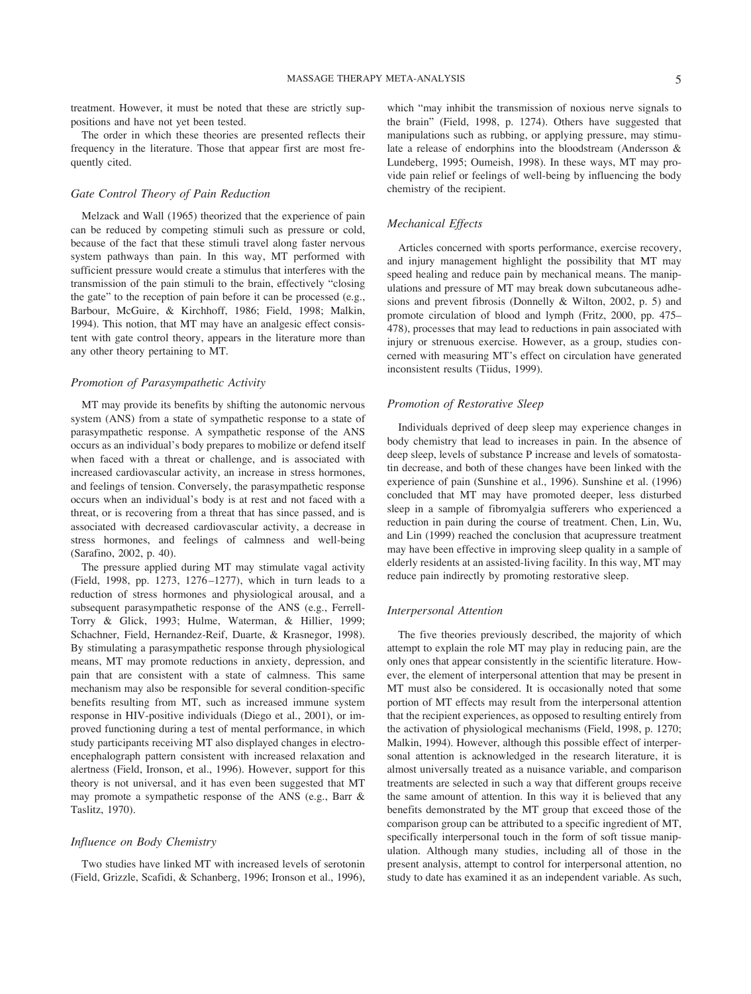treatment. However, it must be noted that these are strictly suppositions and have not yet been tested.

The order in which these theories are presented reflects their frequency in the literature. Those that appear first are most frequently cited.

# *Gate Control Theory of Pain Reduction*

Melzack and Wall (1965) theorized that the experience of pain can be reduced by competing stimuli such as pressure or cold, because of the fact that these stimuli travel along faster nervous system pathways than pain. In this way, MT performed with sufficient pressure would create a stimulus that interferes with the transmission of the pain stimuli to the brain, effectively "closing the gate" to the reception of pain before it can be processed (e.g., Barbour, McGuire, & Kirchhoff, 1986; Field, 1998; Malkin, 1994). This notion, that MT may have an analgesic effect consistent with gate control theory, appears in the literature more than any other theory pertaining to MT.

# *Promotion of Parasympathetic Activity*

MT may provide its benefits by shifting the autonomic nervous system (ANS) from a state of sympathetic response to a state of parasympathetic response. A sympathetic response of the ANS occurs as an individual's body prepares to mobilize or defend itself when faced with a threat or challenge, and is associated with increased cardiovascular activity, an increase in stress hormones, and feelings of tension. Conversely, the parasympathetic response occurs when an individual's body is at rest and not faced with a threat, or is recovering from a threat that has since passed, and is associated with decreased cardiovascular activity, a decrease in stress hormones, and feelings of calmness and well-being (Sarafino, 2002, p. 40).

The pressure applied during MT may stimulate vagal activity (Field, 1998, pp. 1273, 1276–1277), which in turn leads to a reduction of stress hormones and physiological arousal, and a subsequent parasympathetic response of the ANS (e.g., Ferrell-Torry & Glick, 1993; Hulme, Waterman, & Hillier, 1999; Schachner, Field, Hernandez-Reif, Duarte, & Krasnegor, 1998). By stimulating a parasympathetic response through physiological means, MT may promote reductions in anxiety, depression, and pain that are consistent with a state of calmness. This same mechanism may also be responsible for several condition-specific benefits resulting from MT, such as increased immune system response in HIV-positive individuals (Diego et al., 2001), or improved functioning during a test of mental performance, in which study participants receiving MT also displayed changes in electroencephalograph pattern consistent with increased relaxation and alertness (Field, Ironson, et al., 1996). However, support for this theory is not universal, and it has even been suggested that MT may promote a sympathetic response of the ANS (e.g., Barr & Taslitz, 1970).

## *Influence on Body Chemistry*

Two studies have linked MT with increased levels of serotonin (Field, Grizzle, Scafidi, & Schanberg, 1996; Ironson et al., 1996), which "may inhibit the transmission of noxious nerve signals to the brain" (Field, 1998, p. 1274). Others have suggested that manipulations such as rubbing, or applying pressure, may stimulate a release of endorphins into the bloodstream (Andersson & Lundeberg, 1995; Oumeish, 1998). In these ways, MT may provide pain relief or feelings of well-being by influencing the body chemistry of the recipient.

#### *Mechanical Effects*

Articles concerned with sports performance, exercise recovery, and injury management highlight the possibility that MT may speed healing and reduce pain by mechanical means. The manipulations and pressure of MT may break down subcutaneous adhesions and prevent fibrosis (Donnelly & Wilton, 2002, p. 5) and promote circulation of blood and lymph (Fritz, 2000, pp. 475– 478), processes that may lead to reductions in pain associated with injury or strenuous exercise. However, as a group, studies concerned with measuring MT's effect on circulation have generated inconsistent results (Tiidus, 1999).

### *Promotion of Restorative Sleep*

Individuals deprived of deep sleep may experience changes in body chemistry that lead to increases in pain. In the absence of deep sleep, levels of substance P increase and levels of somatostatin decrease, and both of these changes have been linked with the experience of pain (Sunshine et al., 1996). Sunshine et al. (1996) concluded that MT may have promoted deeper, less disturbed sleep in a sample of fibromyalgia sufferers who experienced a reduction in pain during the course of treatment. Chen, Lin, Wu, and Lin (1999) reached the conclusion that acupressure treatment may have been effective in improving sleep quality in a sample of elderly residents at an assisted-living facility. In this way, MT may reduce pain indirectly by promoting restorative sleep.

## *Interpersonal Attention*

The five theories previously described, the majority of which attempt to explain the role MT may play in reducing pain, are the only ones that appear consistently in the scientific literature. However, the element of interpersonal attention that may be present in MT must also be considered. It is occasionally noted that some portion of MT effects may result from the interpersonal attention that the recipient experiences, as opposed to resulting entirely from the activation of physiological mechanisms (Field, 1998, p. 1270; Malkin, 1994). However, although this possible effect of interpersonal attention is acknowledged in the research literature, it is almost universally treated as a nuisance variable, and comparison treatments are selected in such a way that different groups receive the same amount of attention. In this way it is believed that any benefits demonstrated by the MT group that exceed those of the comparison group can be attributed to a specific ingredient of MT, specifically interpersonal touch in the form of soft tissue manipulation. Although many studies, including all of those in the present analysis, attempt to control for interpersonal attention, no study to date has examined it as an independent variable. As such,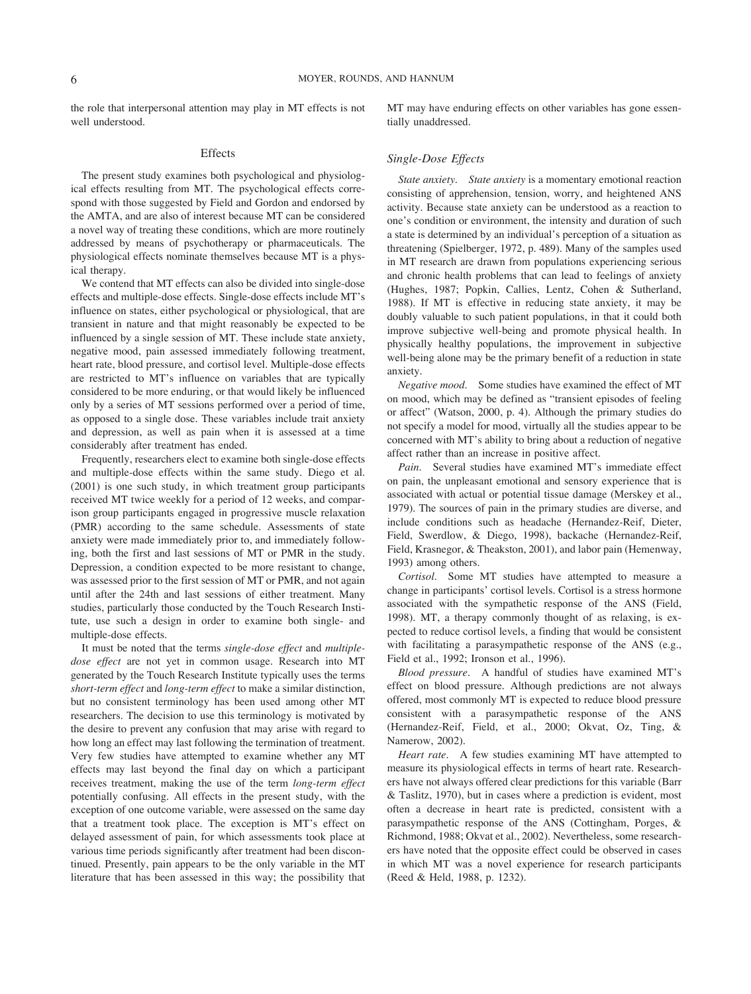the role that interpersonal attention may play in MT effects is not well understood.

### **Effects**

The present study examines both psychological and physiological effects resulting from MT. The psychological effects correspond with those suggested by Field and Gordon and endorsed by the AMTA, and are also of interest because MT can be considered a novel way of treating these conditions, which are more routinely addressed by means of psychotherapy or pharmaceuticals. The physiological effects nominate themselves because MT is a physical therapy.

We contend that MT effects can also be divided into single-dose effects and multiple-dose effects. Single-dose effects include MT's influence on states, either psychological or physiological, that are transient in nature and that might reasonably be expected to be influenced by a single session of MT. These include state anxiety, negative mood, pain assessed immediately following treatment, heart rate, blood pressure, and cortisol level. Multiple-dose effects are restricted to MT's influence on variables that are typically considered to be more enduring, or that would likely be influenced only by a series of MT sessions performed over a period of time, as opposed to a single dose. These variables include trait anxiety and depression, as well as pain when it is assessed at a time considerably after treatment has ended.

Frequently, researchers elect to examine both single-dose effects and multiple-dose effects within the same study. Diego et al. (2001) is one such study, in which treatment group participants received MT twice weekly for a period of 12 weeks, and comparison group participants engaged in progressive muscle relaxation (PMR) according to the same schedule. Assessments of state anxiety were made immediately prior to, and immediately following, both the first and last sessions of MT or PMR in the study. Depression, a condition expected to be more resistant to change, was assessed prior to the first session of MT or PMR, and not again until after the 24th and last sessions of either treatment. Many studies, particularly those conducted by the Touch Research Institute, use such a design in order to examine both single- and multiple-dose effects.

It must be noted that the terms *single-dose effect* and *multipledose effect* are not yet in common usage. Research into MT generated by the Touch Research Institute typically uses the terms *short-term effect* and *long-term effect* to make a similar distinction, but no consistent terminology has been used among other MT researchers. The decision to use this terminology is motivated by the desire to prevent any confusion that may arise with regard to how long an effect may last following the termination of treatment. Very few studies have attempted to examine whether any MT effects may last beyond the final day on which a participant receives treatment, making the use of the term *long-term effect* potentially confusing. All effects in the present study, with the exception of one outcome variable, were assessed on the same day that a treatment took place. The exception is MT's effect on delayed assessment of pain, for which assessments took place at various time periods significantly after treatment had been discontinued. Presently, pain appears to be the only variable in the MT literature that has been assessed in this way; the possibility that

MT may have enduring effects on other variables has gone essentially unaddressed.

# *Single-Dose Effects*

*State anxiety. State anxiety* is a momentary emotional reaction consisting of apprehension, tension, worry, and heightened ANS activity. Because state anxiety can be understood as a reaction to one's condition or environment, the intensity and duration of such a state is determined by an individual's perception of a situation as threatening (Spielberger, 1972, p. 489). Many of the samples used in MT research are drawn from populations experiencing serious and chronic health problems that can lead to feelings of anxiety (Hughes, 1987; Popkin, Callies, Lentz, Cohen & Sutherland, 1988). If MT is effective in reducing state anxiety, it may be doubly valuable to such patient populations, in that it could both improve subjective well-being and promote physical health. In physically healthy populations, the improvement in subjective well-being alone may be the primary benefit of a reduction in state anxiety.

*Negative mood.* Some studies have examined the effect of MT on mood, which may be defined as "transient episodes of feeling or affect" (Watson, 2000, p. 4). Although the primary studies do not specify a model for mood, virtually all the studies appear to be concerned with MT's ability to bring about a reduction of negative affect rather than an increase in positive affect.

*Pain.* Several studies have examined MT's immediate effect on pain, the unpleasant emotional and sensory experience that is associated with actual or potential tissue damage (Merskey et al., 1979). The sources of pain in the primary studies are diverse, and include conditions such as headache (Hernandez-Reif, Dieter, Field, Swerdlow, & Diego, 1998), backache (Hernandez-Reif, Field, Krasnegor, & Theakston, 2001), and labor pain (Hemenway, 1993) among others.

*Cortisol.* Some MT studies have attempted to measure a change in participants' cortisol levels. Cortisol is a stress hormone associated with the sympathetic response of the ANS (Field, 1998). MT, a therapy commonly thought of as relaxing, is expected to reduce cortisol levels, a finding that would be consistent with facilitating a parasympathetic response of the ANS (e.g., Field et al., 1992; Ironson et al., 1996).

*Blood pressure.* A handful of studies have examined MT's effect on blood pressure. Although predictions are not always offered, most commonly MT is expected to reduce blood pressure consistent with a parasympathetic response of the ANS (Hernandez-Reif, Field, et al., 2000; Okvat, Oz, Ting, & Namerow, 2002).

*Heart rate.* A few studies examining MT have attempted to measure its physiological effects in terms of heart rate. Researchers have not always offered clear predictions for this variable (Barr & Taslitz, 1970), but in cases where a prediction is evident, most often a decrease in heart rate is predicted, consistent with a parasympathetic response of the ANS (Cottingham, Porges, & Richmond, 1988; Okvat et al., 2002). Nevertheless, some researchers have noted that the opposite effect could be observed in cases in which MT was a novel experience for research participants (Reed & Held, 1988, p. 1232).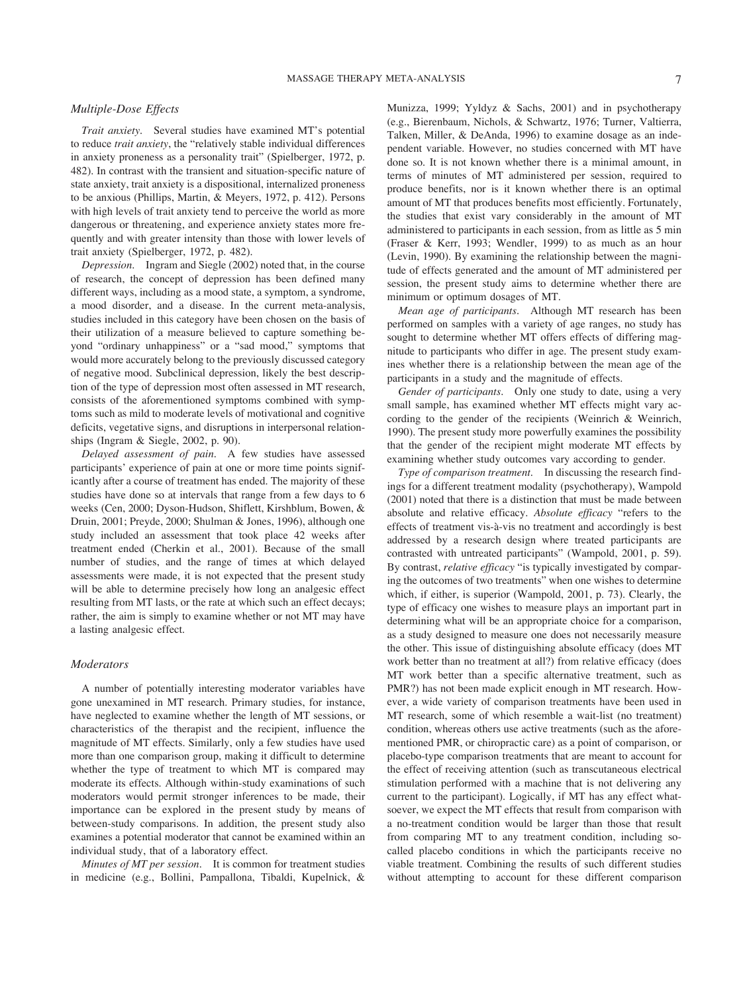# *Multiple-Dose Effects*

*Trait anxiety.* Several studies have examined MT's potential to reduce *trait anxiety*, the "relatively stable individual differences in anxiety proneness as a personality trait" (Spielberger, 1972, p. 482). In contrast with the transient and situation-specific nature of state anxiety, trait anxiety is a dispositional, internalized proneness to be anxious (Phillips, Martin, & Meyers, 1972, p. 412). Persons with high levels of trait anxiety tend to perceive the world as more dangerous or threatening, and experience anxiety states more frequently and with greater intensity than those with lower levels of trait anxiety (Spielberger, 1972, p. 482).

*Depression.* Ingram and Siegle (2002) noted that, in the course of research, the concept of depression has been defined many different ways, including as a mood state, a symptom, a syndrome, a mood disorder, and a disease. In the current meta-analysis, studies included in this category have been chosen on the basis of their utilization of a measure believed to capture something beyond "ordinary unhappiness" or a "sad mood," symptoms that would more accurately belong to the previously discussed category of negative mood. Subclinical depression, likely the best description of the type of depression most often assessed in MT research, consists of the aforementioned symptoms combined with symptoms such as mild to moderate levels of motivational and cognitive deficits, vegetative signs, and disruptions in interpersonal relationships (Ingram & Siegle, 2002, p. 90).

*Delayed assessment of pain.* A few studies have assessed participants' experience of pain at one or more time points significantly after a course of treatment has ended. The majority of these studies have done so at intervals that range from a few days to 6 weeks (Cen, 2000; Dyson-Hudson, Shiflett, Kirshblum, Bowen, & Druin, 2001; Preyde, 2000; Shulman & Jones, 1996), although one study included an assessment that took place 42 weeks after treatment ended (Cherkin et al., 2001). Because of the small number of studies, and the range of times at which delayed assessments were made, it is not expected that the present study will be able to determine precisely how long an analgesic effect resulting from MT lasts, or the rate at which such an effect decays; rather, the aim is simply to examine whether or not MT may have a lasting analgesic effect.

# *Moderators*

A number of potentially interesting moderator variables have gone unexamined in MT research. Primary studies, for instance, have neglected to examine whether the length of MT sessions, or characteristics of the therapist and the recipient, influence the magnitude of MT effects. Similarly, only a few studies have used more than one comparison group, making it difficult to determine whether the type of treatment to which MT is compared may moderate its effects. Although within-study examinations of such moderators would permit stronger inferences to be made, their importance can be explored in the present study by means of between-study comparisons. In addition, the present study also examines a potential moderator that cannot be examined within an individual study, that of a laboratory effect.

*Minutes of MT per session.* It is common for treatment studies in medicine (e.g., Bollini, Pampallona, Tibaldi, Kupelnick, & Munizza, 1999; Yyldyz & Sachs, 2001) and in psychotherapy (e.g., Bierenbaum, Nichols, & Schwartz, 1976; Turner, Valtierra, Talken, Miller, & DeAnda, 1996) to examine dosage as an independent variable. However, no studies concerned with MT have done so. It is not known whether there is a minimal amount, in terms of minutes of MT administered per session, required to produce benefits, nor is it known whether there is an optimal amount of MT that produces benefits most efficiently. Fortunately, the studies that exist vary considerably in the amount of MT administered to participants in each session, from as little as 5 min (Fraser & Kerr, 1993; Wendler, 1999) to as much as an hour (Levin, 1990). By examining the relationship between the magnitude of effects generated and the amount of MT administered per session, the present study aims to determine whether there are minimum or optimum dosages of MT.

*Mean age of participants.* Although MT research has been performed on samples with a variety of age ranges, no study has sought to determine whether MT offers effects of differing magnitude to participants who differ in age. The present study examines whether there is a relationship between the mean age of the participants in a study and the magnitude of effects.

*Gender of participants.* Only one study to date, using a very small sample, has examined whether MT effects might vary according to the gender of the recipients (Weinrich & Weinrich, 1990). The present study more powerfully examines the possibility that the gender of the recipient might moderate MT effects by examining whether study outcomes vary according to gender.

*Type of comparison treatment.* In discussing the research findings for a different treatment modality (psychotherapy), Wampold (2001) noted that there is a distinction that must be made between absolute and relative efficacy. *Absolute efficacy* "refers to the effects of treatment vis-à-vis no treatment and accordingly is best addressed by a research design where treated participants are contrasted with untreated participants" (Wampold, 2001, p. 59). By contrast, *relative efficacy* "is typically investigated by comparing the outcomes of two treatments" when one wishes to determine which, if either, is superior (Wampold, 2001, p. 73). Clearly, the type of efficacy one wishes to measure plays an important part in determining what will be an appropriate choice for a comparison, as a study designed to measure one does not necessarily measure the other. This issue of distinguishing absolute efficacy (does MT work better than no treatment at all?) from relative efficacy (does MT work better than a specific alternative treatment, such as PMR?) has not been made explicit enough in MT research. However, a wide variety of comparison treatments have been used in MT research, some of which resemble a wait-list (no treatment) condition, whereas others use active treatments (such as the aforementioned PMR, or chiropractic care) as a point of comparison, or placebo-type comparison treatments that are meant to account for the effect of receiving attention (such as transcutaneous electrical stimulation performed with a machine that is not delivering any current to the participant). Logically, if MT has any effect whatsoever, we expect the MT effects that result from comparison with a no-treatment condition would be larger than those that result from comparing MT to any treatment condition, including socalled placebo conditions in which the participants receive no viable treatment. Combining the results of such different studies without attempting to account for these different comparison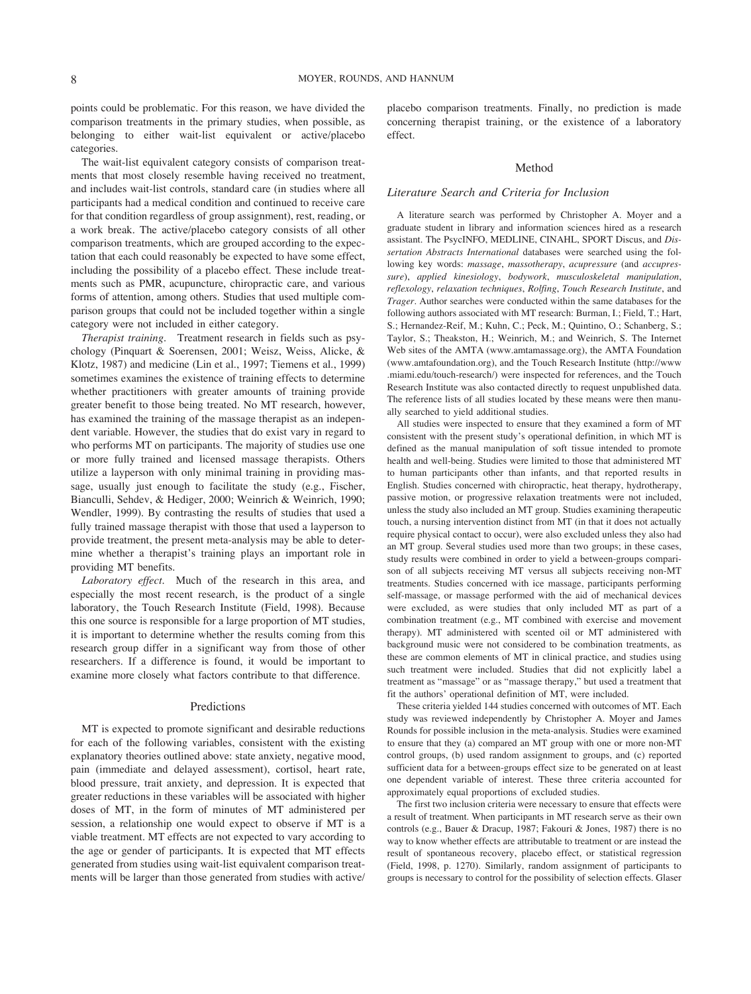points could be problematic. For this reason, we have divided the comparison treatments in the primary studies, when possible, as belonging to either wait-list equivalent or active/placebo categories.

The wait-list equivalent category consists of comparison treatments that most closely resemble having received no treatment, and includes wait-list controls, standard care (in studies where all participants had a medical condition and continued to receive care for that condition regardless of group assignment), rest, reading, or a work break. The active/placebo category consists of all other comparison treatments, which are grouped according to the expectation that each could reasonably be expected to have some effect, including the possibility of a placebo effect. These include treatments such as PMR, acupuncture, chiropractic care, and various forms of attention, among others. Studies that used multiple comparison groups that could not be included together within a single category were not included in either category.

*Therapist training.* Treatment research in fields such as psychology (Pinquart & Soerensen, 2001; Weisz, Weiss, Alicke, & Klotz, 1987) and medicine (Lin et al., 1997; Tiemens et al., 1999) sometimes examines the existence of training effects to determine whether practitioners with greater amounts of training provide greater benefit to those being treated. No MT research, however, has examined the training of the massage therapist as an independent variable. However, the studies that do exist vary in regard to who performs MT on participants. The majority of studies use one or more fully trained and licensed massage therapists. Others utilize a layperson with only minimal training in providing massage, usually just enough to facilitate the study (e.g., Fischer, Bianculli, Sehdev, & Hediger, 2000; Weinrich & Weinrich, 1990; Wendler, 1999). By contrasting the results of studies that used a fully trained massage therapist with those that used a layperson to provide treatment, the present meta-analysis may be able to determine whether a therapist's training plays an important role in providing MT benefits.

*Laboratory effect.* Much of the research in this area, and especially the most recent research, is the product of a single laboratory, the Touch Research Institute (Field, 1998). Because this one source is responsible for a large proportion of MT studies, it is important to determine whether the results coming from this research group differ in a significant way from those of other researchers. If a difference is found, it would be important to examine more closely what factors contribute to that difference.

#### Predictions

MT is expected to promote significant and desirable reductions for each of the following variables, consistent with the existing explanatory theories outlined above: state anxiety, negative mood, pain (immediate and delayed assessment), cortisol, heart rate, blood pressure, trait anxiety, and depression. It is expected that greater reductions in these variables will be associated with higher doses of MT, in the form of minutes of MT administered per session, a relationship one would expect to observe if MT is a viable treatment. MT effects are not expected to vary according to the age or gender of participants. It is expected that MT effects generated from studies using wait-list equivalent comparison treatments will be larger than those generated from studies with active/ placebo comparison treatments. Finally, no prediction is made concerning therapist training, or the existence of a laboratory effect.

#### Method

## *Literature Search and Criteria for Inclusion*

A literature search was performed by Christopher A. Moyer and a graduate student in library and information sciences hired as a research assistant. The PsycINFO, MEDLINE, CINAHL, SPORT Discus, and *Dissertation Abstracts International* databases were searched using the following key words: *massage*, *massotherapy*, *acupressure* (and *accupressure*), *applied kinesiology*, *bodywork*, *musculoskeletal manipulation*, *reflexology*, *relaxation techniques*, *Rolfing*, *Touch Research Institute*, and *Trager*. Author searches were conducted within the same databases for the following authors associated with MT research: Burman, I.; Field, T.; Hart, S.; Hernandez-Reif, M.; Kuhn, C.; Peck, M.; Quintino, O.; Schanberg, S.; Taylor, S.; Theakston, H.; Weinrich, M.; and Weinrich, S. The Internet Web sites of the AMTA (www.amtamassage.org), the AMTA Foundation (www.amtafoundation.org), and the Touch Research Institute (http://www .miami.edu/touch-research/) were inspected for references, and the Touch Research Institute was also contacted directly to request unpublished data. The reference lists of all studies located by these means were then manually searched to yield additional studies.

All studies were inspected to ensure that they examined a form of MT consistent with the present study's operational definition, in which MT is defined as the manual manipulation of soft tissue intended to promote health and well-being. Studies were limited to those that administered MT to human participants other than infants, and that reported results in English. Studies concerned with chiropractic, heat therapy, hydrotherapy, passive motion, or progressive relaxation treatments were not included, unless the study also included an MT group. Studies examining therapeutic touch, a nursing intervention distinct from MT (in that it does not actually require physical contact to occur), were also excluded unless they also had an MT group. Several studies used more than two groups; in these cases, study results were combined in order to yield a between-groups comparison of all subjects receiving MT versus all subjects receiving non-MT treatments. Studies concerned with ice massage, participants performing self-massage, or massage performed with the aid of mechanical devices were excluded, as were studies that only included MT as part of a combination treatment (e.g., MT combined with exercise and movement therapy). MT administered with scented oil or MT administered with background music were not considered to be combination treatments, as these are common elements of MT in clinical practice, and studies using such treatment were included. Studies that did not explicitly label a treatment as "massage" or as "massage therapy," but used a treatment that fit the authors' operational definition of MT, were included.

These criteria yielded 144 studies concerned with outcomes of MT. Each study was reviewed independently by Christopher A. Moyer and James Rounds for possible inclusion in the meta-analysis. Studies were examined to ensure that they (a) compared an MT group with one or more non-MT control groups, (b) used random assignment to groups, and (c) reported sufficient data for a between-groups effect size to be generated on at least one dependent variable of interest. These three criteria accounted for approximately equal proportions of excluded studies.

The first two inclusion criteria were necessary to ensure that effects were a result of treatment. When participants in MT research serve as their own controls (e.g., Bauer & Dracup, 1987; Fakouri & Jones, 1987) there is no way to know whether effects are attributable to treatment or are instead the result of spontaneous recovery, placebo effect, or statistical regression (Field, 1998, p. 1270). Similarly, random assignment of participants to groups is necessary to control for the possibility of selection effects. Glaser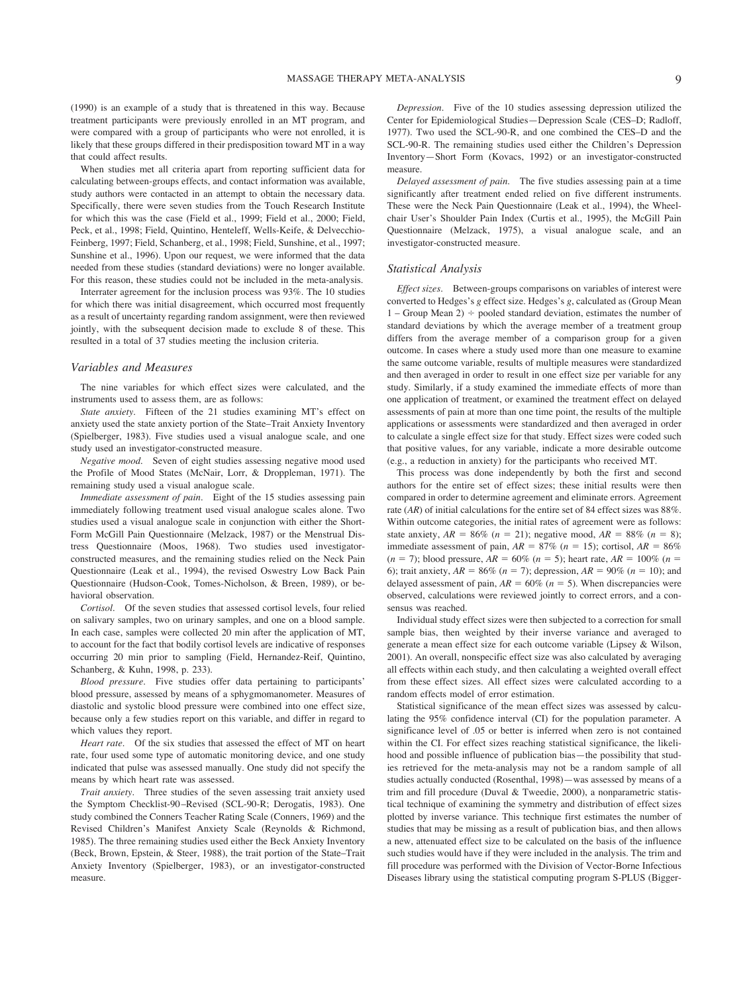(1990) is an example of a study that is threatened in this way. Because treatment participants were previously enrolled in an MT program, and were compared with a group of participants who were not enrolled, it is likely that these groups differed in their predisposition toward MT in a way that could affect results.

When studies met all criteria apart from reporting sufficient data for calculating between-groups effects, and contact information was available, study authors were contacted in an attempt to obtain the necessary data. Specifically, there were seven studies from the Touch Research Institute for which this was the case (Field et al., 1999; Field et al., 2000; Field, Peck, et al., 1998; Field, Quintino, Henteleff, Wells-Keife, & Delvecchio-Feinberg, 1997; Field, Schanberg, et al., 1998; Field, Sunshine, et al., 1997; Sunshine et al., 1996). Upon our request, we were informed that the data needed from these studies (standard deviations) were no longer available. For this reason, these studies could not be included in the meta-analysis.

Interrater agreement for the inclusion process was 93%. The 10 studies for which there was initial disagreement, which occurred most frequently as a result of uncertainty regarding random assignment, were then reviewed jointly, with the subsequent decision made to exclude 8 of these. This resulted in a total of 37 studies meeting the inclusion criteria.

### *Variables and Measures*

The nine variables for which effect sizes were calculated, and the instruments used to assess them, are as follows:

*State anxiety.* Fifteen of the 21 studies examining MT's effect on anxiety used the state anxiety portion of the State–Trait Anxiety Inventory (Spielberger, 1983). Five studies used a visual analogue scale, and one study used an investigator-constructed measure.

*Negative mood.* Seven of eight studies assessing negative mood used the Profile of Mood States (McNair, Lorr, & Droppleman, 1971). The remaining study used a visual analogue scale.

*Immediate assessment of pain.* Eight of the 15 studies assessing pain immediately following treatment used visual analogue scales alone. Two studies used a visual analogue scale in conjunction with either the Short-Form McGill Pain Questionnaire (Melzack, 1987) or the Menstrual Distress Questionnaire (Moos, 1968). Two studies used investigatorconstructed measures, and the remaining studies relied on the Neck Pain Questionnaire (Leak et al., 1994), the revised Oswestry Low Back Pain Questionnaire (Hudson-Cook, Tomes-Nicholson, & Breen, 1989), or behavioral observation.

*Cortisol.* Of the seven studies that assessed cortisol levels, four relied on salivary samples, two on urinary samples, and one on a blood sample. In each case, samples were collected 20 min after the application of MT, to account for the fact that bodily cortisol levels are indicative of responses occurring 20 min prior to sampling (Field, Hernandez-Reif, Quintino, Schanberg, & Kuhn, 1998, p. 233).

*Blood pressure.* Five studies offer data pertaining to participants' blood pressure, assessed by means of a sphygmomanometer. Measures of diastolic and systolic blood pressure were combined into one effect size, because only a few studies report on this variable, and differ in regard to which values they report.

*Heart rate.* Of the six studies that assessed the effect of MT on heart rate, four used some type of automatic monitoring device, and one study indicated that pulse was assessed manually. One study did not specify the means by which heart rate was assessed.

*Trait anxiety.* Three studies of the seven assessing trait anxiety used the Symptom Checklist-90–Revised (SCL-90-R; Derogatis, 1983). One study combined the Conners Teacher Rating Scale (Conners, 1969) and the Revised Children's Manifest Anxiety Scale (Reynolds & Richmond, 1985). The three remaining studies used either the Beck Anxiety Inventory (Beck, Brown, Epstein, & Steer, 1988), the trait portion of the State–Trait Anxiety Inventory (Spielberger, 1983), or an investigator-constructed measure.

*Depression.* Five of the 10 studies assessing depression utilized the Center for Epidemiological Studies—Depression Scale (CES–D; Radloff, 1977). Two used the SCL-90-R, and one combined the CES–D and the SCL-90-R. The remaining studies used either the Children's Depression Inventory—Short Form (Kovacs, 1992) or an investigator-constructed measure.

*Delayed assessment of pain.* The five studies assessing pain at a time significantly after treatment ended relied on five different instruments. These were the Neck Pain Questionnaire (Leak et al., 1994), the Wheelchair User's Shoulder Pain Index (Curtis et al., 1995), the McGill Pain Questionnaire (Melzack, 1975), a visual analogue scale, and an investigator-constructed measure.

#### *Statistical Analysis*

*Effect sizes.* Between-groups comparisons on variables of interest were converted to Hedges's *g* effect size. Hedges's *g*, calculated as (Group Mean  $1 -$  Group Mean 2)  $\div$  pooled standard deviation, estimates the number of standard deviations by which the average member of a treatment group differs from the average member of a comparison group for a given outcome. In cases where a study used more than one measure to examine the same outcome variable, results of multiple measures were standardized and then averaged in order to result in one effect size per variable for any study. Similarly, if a study examined the immediate effects of more than one application of treatment, or examined the treatment effect on delayed assessments of pain at more than one time point, the results of the multiple applications or assessments were standardized and then averaged in order to calculate a single effect size for that study. Effect sizes were coded such that positive values, for any variable, indicate a more desirable outcome (e.g., a reduction in anxiety) for the participants who received MT.

This process was done independently by both the first and second authors for the entire set of effect sizes; these initial results were then compared in order to determine agreement and eliminate errors. Agreement rate (*AR*) of initial calculations for the entire set of 84 effect sizes was 88%. Within outcome categories, the initial rates of agreement were as follows: state anxiety,  $AR = 86\%$  ( $n = 21$ ); negative mood,  $AR = 88\%$  ( $n = 8$ ); immediate assessment of pain,  $AR = 87\%$  ( $n = 15$ ); cortisol,  $AR = 86\%$  $(n = 7)$ ; blood pressure,  $AR = 60\%$   $(n = 5)$ ; heart rate,  $AR = 100\%$   $(n = 1)$ 6); trait anxiety,  $AR = 86\%$  ( $n = 7$ ); depression,  $AR = 90\%$  ( $n = 10$ ); and delayed assessment of pain,  $AR = 60\%$  ( $n = 5$ ). When discrepancies were observed, calculations were reviewed jointly to correct errors, and a consensus was reached.

Individual study effect sizes were then subjected to a correction for small sample bias, then weighted by their inverse variance and averaged to generate a mean effect size for each outcome variable (Lipsey & Wilson, 2001). An overall, nonspecific effect size was also calculated by averaging all effects within each study, and then calculating a weighted overall effect from these effect sizes. All effect sizes were calculated according to a random effects model of error estimation.

Statistical significance of the mean effect sizes was assessed by calculating the 95% confidence interval (CI) for the population parameter. A significance level of .05 or better is inferred when zero is not contained within the CI. For effect sizes reaching statistical significance, the likelihood and possible influence of publication bias—the possibility that studies retrieved for the meta-analysis may not be a random sample of all studies actually conducted (Rosenthal, 1998)—was assessed by means of a trim and fill procedure (Duval & Tweedie, 2000), a nonparametric statistical technique of examining the symmetry and distribution of effect sizes plotted by inverse variance. This technique first estimates the number of studies that may be missing as a result of publication bias, and then allows a new, attenuated effect size to be calculated on the basis of the influence such studies would have if they were included in the analysis. The trim and fill procedure was performed with the Division of Vector-Borne Infectious Diseases library using the statistical computing program S-PLUS (Bigger-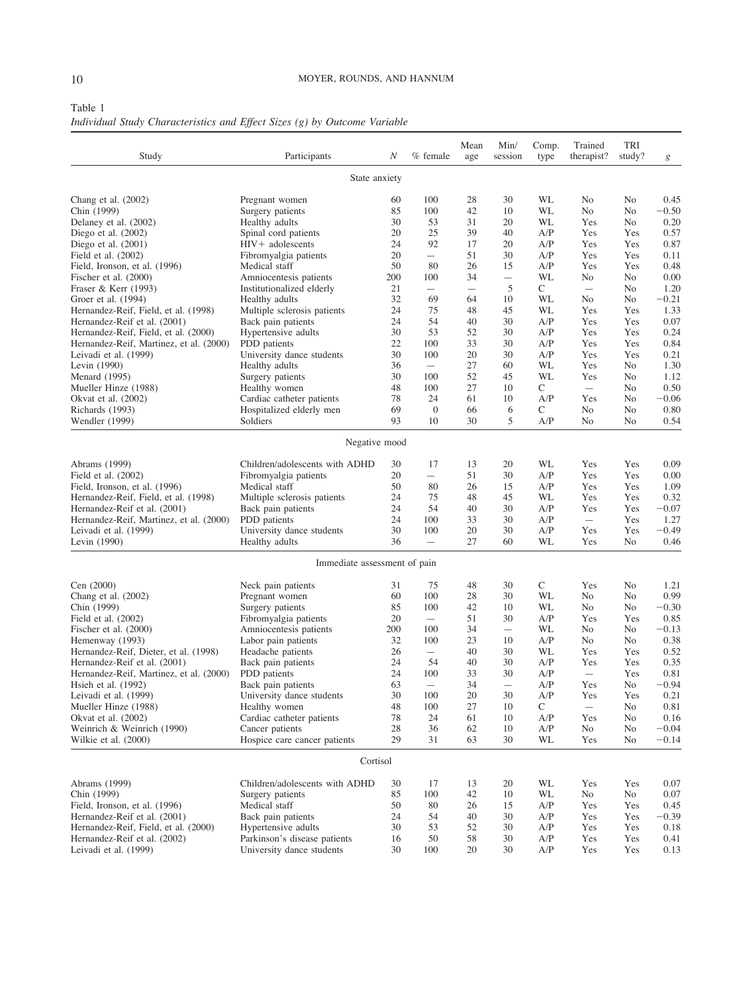| Table 1                                                                   |  |
|---------------------------------------------------------------------------|--|
| Individual Study Characteristics and Effect Sizes (g) by Outcome Variable |  |

| Study                                              | Participants                                              | Ν        | Mean<br>Min/<br>Trained<br>Comp.<br>% female<br>session<br>therapist?<br>age<br>type |                          |                          | TRI<br>study? | g                        |           |                    |
|----------------------------------------------------|-----------------------------------------------------------|----------|--------------------------------------------------------------------------------------|--------------------------|--------------------------|---------------|--------------------------|-----------|--------------------|
|                                                    | State anxiety                                             |          |                                                                                      |                          |                          |               |                          |           |                    |
| Chang et al. $(2002)$                              | Pregnant women                                            | 60       | 100                                                                                  | 28                       | 30                       | WL            | No                       | No        | 0.45               |
| Chin (1999)                                        | Surgery patients                                          | 85       | 100                                                                                  | 42                       | 10                       | WL            | No                       | No        | $-0.50$            |
| Delaney et al. (2002)                              | Healthy adults                                            |          |                                                                                      |                          |                          |               | Yes                      | No        | 0.20               |
| Diego et al. $(2002)$                              | Spinal cord patients                                      | 20       | 25                                                                                   | 39                       | 40                       | A/P           | Yes                      | Yes       | 0.57               |
| Diego et al. $(2001)$                              | $HIV+$ adolescents                                        | 24       | 92                                                                                   | 17                       | 20                       | A/P           | Yes                      | Yes       | 0.87               |
| Field et al. $(2002)$                              | Fibromyalgia patients                                     | 20       | $\overline{\phantom{0}}$                                                             | 51                       | 30                       | A/P           | Yes                      | Yes       | 0.11               |
| Field, Ironson, et al. (1996)                      | Medical staff                                             | 50       | 80                                                                                   | 26                       | 15                       | A/P           | Yes                      | Yes       | 0.48               |
| Fischer et al. (2000)                              | Amniocentesis patients                                    | 200      | 100                                                                                  | 34                       |                          | WL            | No                       | No.       | 0.00               |
| Fraser & Kerr $(1993)$                             | Institutionalized elderly                                 | 21       | $\overline{\phantom{0}}$                                                             | $\overline{\phantom{0}}$ | 5                        | C             | $\overline{\phantom{0}}$ | No        | 1.20               |
| Groer et al. (1994)                                | Healthy adults                                            | 32       | 69                                                                                   | 64                       | 10                       | WL            | No                       | No        | $-0.21$            |
| Hernandez-Reif, Field, et al. (1998)               | Multiple sclerosis patients                               | 24       | 75                                                                                   | 48                       | 45                       | WL            | Yes                      | Yes       | 1.33               |
| Hernandez-Reif et al. (2001)                       | Back pain patients                                        | 24       | 54                                                                                   | 40                       | 30                       | A/P           | Yes                      | Yes       | 0.07               |
| Hernandez-Reif, Field, et al. (2000)               | Hypertensive adults                                       | 30       | 53                                                                                   | 52                       | 30                       | A/P           | Yes                      | Yes       | 0.24               |
| Hernandez-Reif, Martinez, et al. (2000)            | PDD patients                                              | 22       | 100                                                                                  | 33                       | 30                       | A/P           | Yes                      | Yes       | 0.84               |
| Leivadi et al. (1999)                              | University dance students                                 | 30       | 100                                                                                  | 20                       | 30                       | A/P           | Yes                      | Yes       | 0.21               |
| Levin (1990)                                       | Healthy adults                                            | 36       | $\overline{\phantom{0}}$                                                             | 27                       | 60                       | WL            | Yes                      | No        | 1.30               |
| <b>Menard</b> (1995)                               | Surgery patients                                          | 30       | 100                                                                                  | 52<br>27                 | 45                       | WL<br>C       | Yes                      | No        | 1.12               |
| Mueller Hinze (1988)                               | Healthy women                                             | 48<br>78 | 100<br>24                                                                            | 61                       | 10                       |               | $\overline{\phantom{0}}$ | No        | 0.50               |
| Okvat et al. (2002)<br>Richards (1993)             | Cardiac catheter patients                                 | 69       | $\mathbf{0}$                                                                         | 66                       | 10<br>6                  | A/P<br>C      | Yes<br>No                | No<br>No  | $-0.06$<br>0.80    |
| Wendler (1999)                                     | Hospitalized elderly men<br>Soldiers                      | 93       | 10                                                                                   | 30                       | 5                        | A/P           | No                       | No        | 0.54               |
|                                                    | Negative mood                                             |          |                                                                                      |                          |                          |               |                          |           |                    |
| Abrams (1999)                                      | Children/adolescents with ADHD                            | 30       | 17                                                                                   | 13                       | 20                       | WL            | Yes                      | Yes       | 0.09               |
| Field et al. (2002)                                | Fibromyalgia patients                                     | 20       | $\overline{\phantom{0}}$                                                             | 51                       | 30                       | A/P           | Yes                      | Yes       | 0.00               |
| Field, Ironson, et al. (1996)                      | Medical staff                                             | 50       | 80                                                                                   | 26                       | 15                       | A/P           | Yes                      | Yes       | 1.09               |
| Hernandez-Reif, Field, et al. (1998)               | Multiple sclerosis patients                               | 24       | 75                                                                                   | 48                       | 45                       | WL            | Yes                      | Yes       | 0.32               |
| Hernandez-Reif et al. (2001)                       | Back pain patients                                        | 24       | 54                                                                                   | 40                       | 30                       | A/P           | Yes                      | Yes       | $-0.07$            |
| Hernandez-Reif, Martinez, et al. (2000)            | PDD patients                                              | 24       | 100                                                                                  | 33                       | 30                       | A/P           | $\overline{\phantom{0}}$ | Yes       | 1.27               |
| Leivadi et al. (1999)                              | University dance students                                 | 30       | 100                                                                                  | 20                       | 30                       | A/P           | Yes                      | Yes       | $-0.49$            |
| Levin (1990)                                       | Healthy adults                                            | 36       | $\overline{\phantom{0}}$                                                             | 27                       | 60                       | WL            | Yes                      | No        | 0.46               |
|                                                    | Immediate assessment of pain                              |          |                                                                                      |                          |                          |               |                          |           |                    |
| Cen (2000)                                         | Neck pain patients                                        | 31       | 75                                                                                   | 48                       | 30                       | C             | Yes                      | No        | 1.21               |
| Chang et al. $(2002)$                              | Pregnant women                                            | 60       | 100                                                                                  | 28                       | 30                       | WL            | No                       | No        | 0.99               |
| Chin (1999)                                        | 85                                                        | 100      | 42                                                                                   | 10                       | WL                       | No            | No                       | $-0.30$   |                    |
| Field et al. (2002)                                | Fibromyalgia patients                                     | 20       | $\overline{\phantom{0}}$                                                             | 51                       | 30                       | A/P           | Yes                      | Yes       | 0.85               |
| Fischer et al. (2000)                              | Amniocentesis patients                                    | 200      | 100                                                                                  | 34                       |                          | WL            | No                       | No        | $-0.13$            |
| Hemenway (1993)                                    | Labor pain patients                                       | 32       | 100                                                                                  | 23                       | 10                       | A/P           | No                       | No.       | 0.38               |
| Hernandez-Reif, Dieter, et al. (1998)              | Headache patients                                         | 26       | $\overline{\phantom{0}}$                                                             | 40                       | 30                       | WL            | Yes                      | Yes       | 0.52               |
| Hernandez-Reif et al. (2001)                       | Back pain patients                                        | 24       | 54                                                                                   | 40                       | 30                       | A/P           | Yes                      | Yes       | 0.35               |
| Hernandez-Reif, Martinez, et al. (2000)            | PDD patients                                              | 24       | 100                                                                                  | 33                       | 30                       | A/P           | $\qquad \qquad -$        | Yes       | 0.81               |
| Hsieh et al. $(1992)$                              | Back pain patients                                        | 63       | $\overline{\phantom{m}}$                                                             | 34                       | $\overline{\phantom{m}}$ | A/P           | Yes                      | No        | $-0.94$            |
| Leivadi et al. (1999)                              | University dance students                                 | 30       | 100                                                                                  | 20                       | 30                       | A/P           | Yes                      | Yes       | 0.21               |
| Mueller Hinze (1988)                               | Healthy women                                             | 48       | 100                                                                                  | 27                       | 10                       | C             | $\overline{\phantom{0}}$ | No        | 0.81               |
| Okvat et al. (2002)                                | Cardiac catheter patients<br>Cancer patients              | 78       | 24                                                                                   | 61                       | 10                       | A/P           | Yes                      | No.       | 0.16               |
| Weinrich & Weinrich (1990)<br>Wilkie et al. (2000) | Hospice care cancer patients                              | 28<br>29 | 36<br>31                                                                             | 62<br>63                 | 10<br>30                 | A/P<br>WL     | No<br>Yes                | No.<br>No | $-0.04$<br>$-0.14$ |
|                                                    |                                                           |          |                                                                                      |                          |                          |               |                          |           |                    |
|                                                    | Cortisol                                                  |          |                                                                                      |                          |                          |               |                          |           |                    |
| Abrams (1999)                                      | Children/adolescents with ADHD<br>Surgery patients        | 30       | 17                                                                                   | 13                       | 20                       | WL            | Yes                      | Yes       | 0.07               |
| Chin (1999)                                        | 85                                                        | 100      | 42                                                                                   | 10                       | WL                       | No            | No                       | 0.07      |                    |
| Field, Ironson, et al. (1996)                      | Medical staff                                             | 50       | 80                                                                                   | 26                       | 15                       | A/P           | Yes                      | Yes       | 0.45               |
| Hernandez-Reif et al. (2001)                       | Back pain patients                                        | 24       | 54                                                                                   | 40                       | 30                       | A/P           | Yes                      | Yes       | $-0.39$            |
| Hernandez-Reif, Field, et al. (2000)               | Hypertensive adults                                       | 30       | 53                                                                                   | 52                       | 30                       | A/P           | Yes                      | Yes       | 0.18               |
| Hernandez-Reif et al. (2002)                       | Parkinson's disease patients<br>University dance students | 16       | 50                                                                                   | 58                       | 30                       | A/P           | Yes                      | Yes       | 0.41               |
| Leivadi et al. (1999)                              | 30                                                        | 100      | 20                                                                                   | 30                       | A/P                      | Yes           | Yes                      | 0.13      |                    |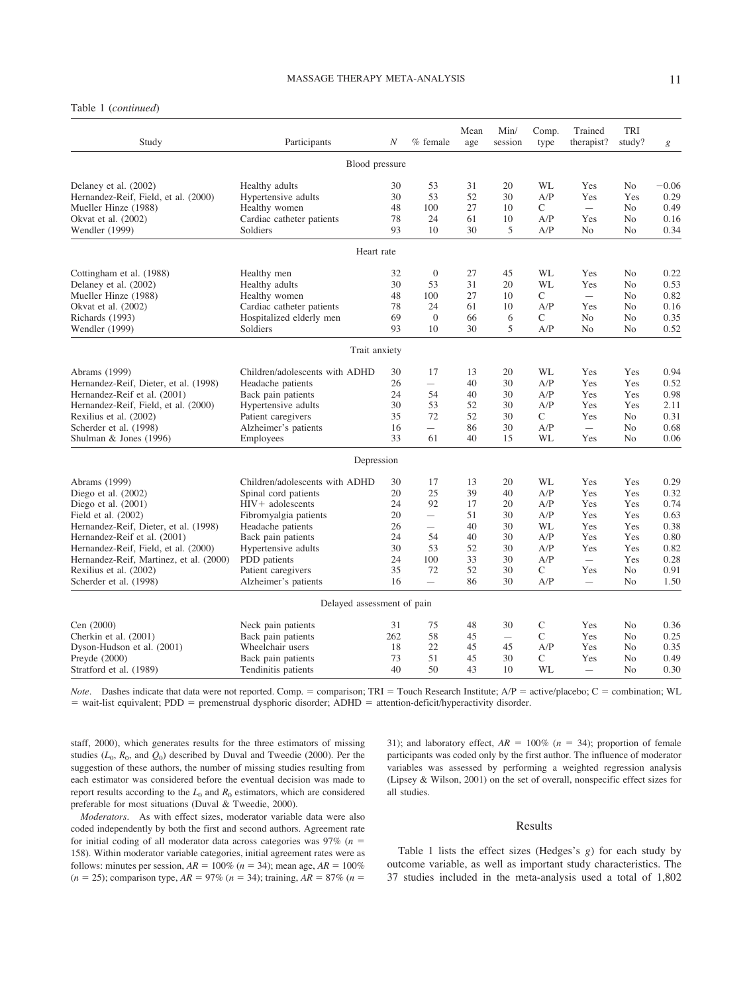#### Table 1 (*continued*)

| Study                                                        | N                                          | % female | Mean<br>age              | Min/<br>session | Comp.<br>type            | Trained<br>therapist?    | TRI<br>study?            | g              |              |
|--------------------------------------------------------------|--------------------------------------------|----------|--------------------------|-----------------|--------------------------|--------------------------|--------------------------|----------------|--------------|
|                                                              | Blood pressure                             |          |                          |                 |                          |                          |                          |                |              |
| Delaney et al. (2002)                                        | 30                                         | 53       | 31<br>52                 | 20<br>30        | WL<br>A/P                | Yes                      | No                       | $-0.06$        |              |
| Hernandez-Reif, Field, et al. (2000)<br>Mueller Hinze (1988) | Hypertensive adults                        | 30<br>48 | 53<br>100                | 27              | 10                       | C                        | Yes                      | Yes<br>No      | 0.29<br>0.49 |
| Okvat et al. (2002)                                          | Healthy women<br>Cardiac catheter patients | 78       | 24                       | 61              | 10                       | A/P                      | Yes                      | N <sub>o</sub> | 0.16         |
| Wendler (1999)                                               | Soldiers                                   | 93       | 10                       | 30              | 5                        | A/P                      | N <sub>o</sub>           | N <sub>0</sub> | 0.34         |
|                                                              | Heart rate                                 |          |                          |                 |                          |                          |                          |                |              |
| Cottingham et al. (1988)                                     | Healthy men                                | 32       | $\boldsymbol{0}$         | 27              | 45                       | WL                       | Yes                      | No             | 0.22         |
| Delaney et al. (2002)                                        | Healthy adults                             | 30       | 53                       | 31              | 20                       | WL                       | Yes                      | No             | 0.53         |
| Mueller Hinze (1988)                                         | Healthy women                              | 48       | 100                      | 27              | 10                       | C                        | $\overline{\phantom{0}}$ | No             | 0.82         |
| Okvat et al. (2002)                                          | Cardiac catheter patients                  | 78       | 24                       | 61              | 10                       | A/P                      | Yes                      | N <sub>o</sub> | 0.16         |
| Richards (1993)                                              | Hospitalized elderly men                   | 69       | $\mathbf{0}$             | 66              | 6                        | C                        | N <sub>o</sub>           | No             | 0.35         |
| Wendler (1999)                                               | Soldiers                                   | 93       | 10                       | 30              | 5                        | A/P                      | No                       | No             | 0.52         |
|                                                              | Trait anxiety                              |          |                          |                 |                          |                          |                          |                |              |
| Abrams (1999)                                                | Children/adolescents with ADHD             | 30       | 17                       | 13              | 20                       | WL                       | Yes                      | Yes            | 0.94         |
| Hernandez-Reif, Dieter, et al. (1998)                        | Headache patients                          | 26       | $\overline{\phantom{0}}$ | 40              | 30                       | A/P                      | Yes                      | Yes            | 0.52         |
| Hernandez-Reif et al. (2001)                                 | Back pain patients                         | 24       | 54                       | 40              | 30                       | A/P                      | Yes                      | Yes            | 0.98         |
| Hernandez-Reif, Field, et al. (2000)                         | Hypertensive adults                        | 30       | 53                       | 52              | 30                       | A/P                      | Yes                      | Yes            | 2.11         |
| Rexilius et al. (2002)                                       | Patient caregivers                         | 35       | 72                       | 52              | 30                       | $\mathcal{C}$            | Yes                      | N <sub>o</sub> | 0.31         |
| Scherder et al. (1998)                                       | Alzheimer's patients                       | 16       | $\overline{\phantom{0}}$ | 86              | 30                       | A/P                      | $\overline{\phantom{0}}$ | No             | 0.68         |
| Shulman & Jones (1996)                                       | Employees                                  | 33       | 61                       | 40              | 15                       | WL                       | Yes                      | No             | 0.06         |
|                                                              | Depression                                 |          |                          |                 |                          |                          |                          |                |              |
| Abrams (1999)                                                | Children/adolescents with ADHD             | 30       | 17                       | 13              | 20                       | WL                       | Yes                      | Yes            | 0.29         |
| Diego et al. $(2002)$                                        | Spinal cord patients                       | 20       | 25                       | 39              | 40                       | A/P                      | Yes                      | Yes            | 0.32         |
| Diego et al. $(2001)$                                        | $HIV+$ adolescents                         | 24       | 92                       | 17              | 20                       | A/P                      | Yes                      | Yes            | 0.74         |
| Field et al. (2002)                                          | Fibromyalgia patients                      | 20       | $\overline{\phantom{0}}$ | 51              | 30                       | A/P                      | Yes                      | Yes            | 0.63         |
| Hernandez-Reif, Dieter, et al. (1998)                        | Headache patients                          | 26       | $\overline{\phantom{0}}$ | 40              | 30                       | WL                       | Yes                      | Yes            | 0.38         |
| Hernandez-Reif et al. (2001)                                 | Back pain patients                         | 24       | 54                       | 40              | 30                       | A/P                      | Yes                      | Yes            | 0.80         |
| Hernandez-Reif, Field, et al. (2000)                         | Hypertensive adults                        | 30       | 53                       | 52              | 30                       | A/P                      | Yes                      | Yes            | 0.82         |
| Hernandez-Reif, Martinez, et al. (2000)                      | PDD patients                               | 24       | 100                      | 33              | 30                       | A/P                      |                          | Yes            | 0.28         |
| Rexilius et al. (2002)                                       | Patient caregivers                         | 35       | 72                       | 52              | 30                       | C                        | Yes                      | No             | 0.91         |
| Scherder et al. (1998)                                       | Alzheimer's patients                       | 16       | $\overline{\phantom{0}}$ | 86              | 30                       | A/P                      | $\overline{\phantom{0}}$ | N <sub>o</sub> | 1.50         |
|                                                              | Delayed assessment of pain                 |          |                          |                 |                          |                          |                          |                |              |
| Cen (2000)                                                   | Neck pain patients                         | 31       | 75                       | 48              | 30                       | C                        | Yes                      | N <sub>o</sub> | 0.36         |
| Cherkin et al. (2001)                                        | Back pain patients                         | 262      | 58                       | 45              | $\overline{\phantom{0}}$ | $\mathcal{C}$            | Yes                      | No             | 0.25         |
| Dyson-Hudson et al. (2001)                                   | Wheelchair users                           | 18       | 22                       | 45              | 45                       | A/P                      | Yes                      | No             | 0.35         |
| Preyde $(2000)$                                              | Back pain patients                         | 73       | 51                       | 45              | 30                       | C                        | Yes                      | No             | 0.49         |
| Stratford et al. (1989)                                      | 40                                         | 50       | 43                       | 10              | WL                       | $\overline{\phantom{0}}$ | No                       | 0.30           |              |

*Note.* Dashes indicate that data were not reported. Comp. = comparison; TRI = Touch Research Institute;  $AP =$  active/placebo;  $C =$  combination; WL = wait-list equivalent; PDD = premenstrual dysphoric disorder; ADHD = attention-deficit/hyperactivity disorder.

staff, 2000), which generates results for the three estimators of missing studies  $(L_0, R_0, \text{ and } Q_0)$  described by Duval and Tweedie (2000). Per the suggestion of these authors, the number of missing studies resulting from each estimator was considered before the eventual decision was made to report results according to the  $L_0$  and  $R_0$  estimators, which are considered preferable for most situations (Duval & Tweedie, 2000).

*Moderators.* As with effect sizes, moderator variable data were also coded independently by both the first and second authors. Agreement rate for initial coding of all moderator data across categories was  $97\%$  ( $n =$ 158). Within moderator variable categories, initial agreement rates were as follows: minutes per session,  $AR = 100\%$  ( $n = 34$ ); mean age,  $AR = 100\%$  $(n = 25)$ ; comparison type,  $AR = 97\%$   $(n = 34)$ ; training,  $AR = 87\%$   $(n = 16)$  31); and laboratory effect,  $AR = 100\%$  ( $n = 34$ ); proportion of female participants was coded only by the first author. The influence of moderator variables was assessed by performing a weighted regression analysis (Lipsey & Wilson, 2001) on the set of overall, nonspecific effect sizes for all studies.

#### Results

Table 1 lists the effect sizes (Hedges's *g*) for each study by outcome variable, as well as important study characteristics. The 37 studies included in the meta-analysis used a total of 1,802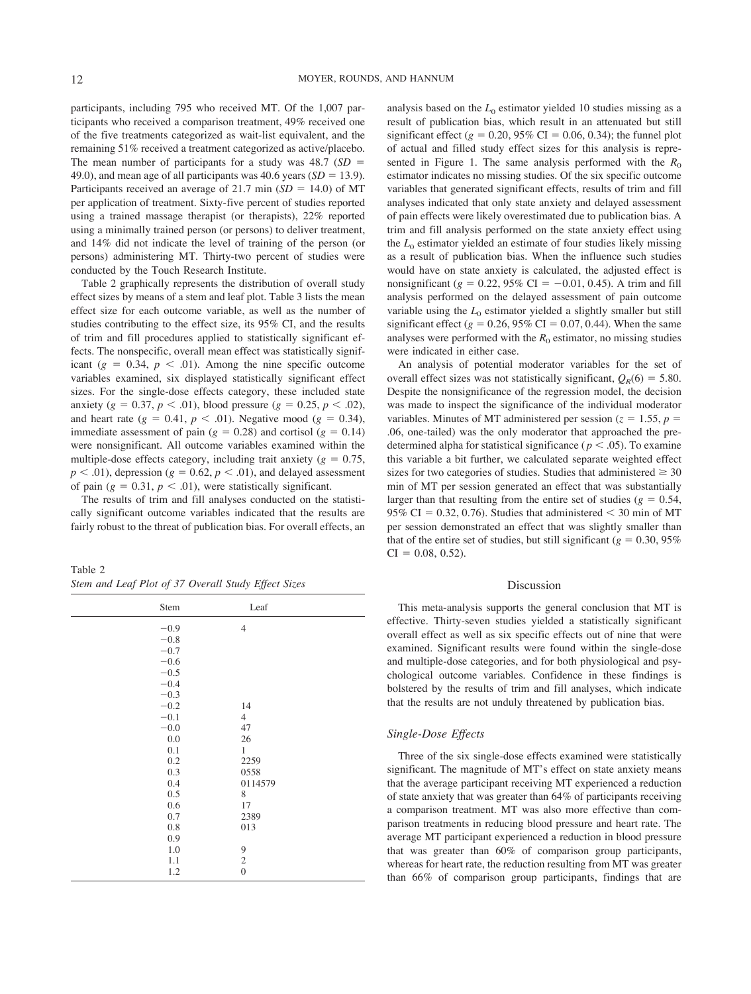participants, including 795 who received MT. Of the 1,007 participants who received a comparison treatment, 49% received one of the five treatments categorized as wait-list equivalent, and the remaining 51% received a treatment categorized as active/placebo. The mean number of participants for a study was  $48.7$  ( $SD =$ 49.0), and mean age of all participants was 40.6 years  $(SD = 13.9)$ . Participants received an average of 21.7 min  $(SD = 14.0)$  of MT per application of treatment. Sixty-five percent of studies reported using a trained massage therapist (or therapists), 22% reported using a minimally trained person (or persons) to deliver treatment, and 14% did not indicate the level of training of the person (or persons) administering MT. Thirty-two percent of studies were conducted by the Touch Research Institute.

Table 2 graphically represents the distribution of overall study effect sizes by means of a stem and leaf plot. Table 3 lists the mean effect size for each outcome variable, as well as the number of studies contributing to the effect size, its 95% CI, and the results of trim and fill procedures applied to statistically significant effects. The nonspecific, overall mean effect was statistically significant  $(g = 0.34, p < .01)$ . Among the nine specific outcome variables examined, six displayed statistically significant effect sizes. For the single-dose effects category, these included state anxiety ( $g = 0.37$ ,  $p < .01$ ), blood pressure ( $g = 0.25$ ,  $p < .02$ ), and heart rate ( $g = 0.41$ ,  $p < .01$ ). Negative mood ( $g = 0.34$ ), immediate assessment of pain ( $g = 0.28$ ) and cortisol ( $g = 0.14$ ) were nonsignificant. All outcome variables examined within the multiple-dose effects category, including trait anxiety ( $g = 0.75$ ,  $p < .01$ ), depression ( $g = 0.62$ ,  $p < .01$ ), and delayed assessment of pain ( $g = 0.31$ ,  $p < .01$ ), were statistically significant.

The results of trim and fill analyses conducted on the statistically significant outcome variables indicated that the results are fairly robust to the threat of publication bias. For overall effects, an

Table 2 *Stem and Leaf Plot of 37 Overall Study Effect Sizes*

| Stem   | Leaf             |  |
|--------|------------------|--|
| $-0.9$ | $\overline{4}$   |  |
| $-0.8$ |                  |  |
| $-0.7$ |                  |  |
| $-0.6$ |                  |  |
| $-0.5$ |                  |  |
| $-0.4$ |                  |  |
| $-0.3$ |                  |  |
| $-0.2$ | 14               |  |
| $-0.1$ | $\overline{4}$   |  |
| $-0.0$ | 47               |  |
| 0.0    | 26               |  |
| 0.1    | $\mathbf{1}$     |  |
| 0.2    | 2259             |  |
| 0.3    | 0558             |  |
| 0.4    | 0114579          |  |
| 0.5    | 8                |  |
| 0.6    | 17               |  |
| 0.7    | 2389             |  |
| 0.8    | 013              |  |
| 0.9    |                  |  |
| 1.0    | 9                |  |
| 1.1    | $\sqrt{2}$       |  |
| 1.2    | $\boldsymbol{0}$ |  |

analysis based on the  $L_0$  estimator yielded 10 studies missing as a result of publication bias, which result in an attenuated but still significant effect ( $g = 0.20, 95\%$  CI = 0.06, 0.34); the funnel plot of actual and filled study effect sizes for this analysis is represented in Figure 1. The same analysis performed with the  $R_0$ estimator indicates no missing studies. Of the six specific outcome variables that generated significant effects, results of trim and fill analyses indicated that only state anxiety and delayed assessment of pain effects were likely overestimated due to publication bias. A trim and fill analysis performed on the state anxiety effect using the  $L_0$  estimator yielded an estimate of four studies likely missing as a result of publication bias. When the influence such studies would have on state anxiety is calculated, the adjusted effect is nonsignificant ( $g = 0.22$ , 95% CI = -0.01, 0.45). A trim and fill analysis performed on the delayed assessment of pain outcome variable using the  $L_0$  estimator yielded a slightly smaller but still significant effect ( $g = 0.26$ , 95% CI = 0.07, 0.44). When the same analyses were performed with the  $R_0$  estimator, no missing studies were indicated in either case.

An analysis of potential moderator variables for the set of overall effect sizes was not statistically significant,  $Q_R(6) = 5.80$ . Despite the nonsignificance of the regression model, the decision was made to inspect the significance of the individual moderator variables. Minutes of MT administered per session ( $z = 1.55$ ,  $p =$ .06, one-tailed) was the only moderator that approached the predetermined alpha for statistical significance ( $p < .05$ ). To examine this variable a bit further, we calculated separate weighted effect sizes for two categories of studies. Studies that administered  $\geq 30$ min of MT per session generated an effect that was substantially larger than that resulting from the entire set of studies ( $g = 0.54$ , 95% CI = 0.32, 0.76). Studies that administered  $<$  30 min of MT per session demonstrated an effect that was slightly smaller than that of the entire set of studies, but still significant ( $g = 0.30, 95\%$  $CI = 0.08, 0.52$ .

# Discussion

This meta-analysis supports the general conclusion that MT is effective. Thirty-seven studies yielded a statistically significant overall effect as well as six specific effects out of nine that were examined. Significant results were found within the single-dose and multiple-dose categories, and for both physiological and psychological outcome variables. Confidence in these findings is bolstered by the results of trim and fill analyses, which indicate that the results are not unduly threatened by publication bias.

# *Single-Dose Effects*

Three of the six single-dose effects examined were statistically significant. The magnitude of MT's effect on state anxiety means that the average participant receiving MT experienced a reduction of state anxiety that was greater than 64% of participants receiving a comparison treatment. MT was also more effective than comparison treatments in reducing blood pressure and heart rate. The average MT participant experienced a reduction in blood pressure that was greater than 60% of comparison group participants, whereas for heart rate, the reduction resulting from MT was greater than 66% of comparison group participants, findings that are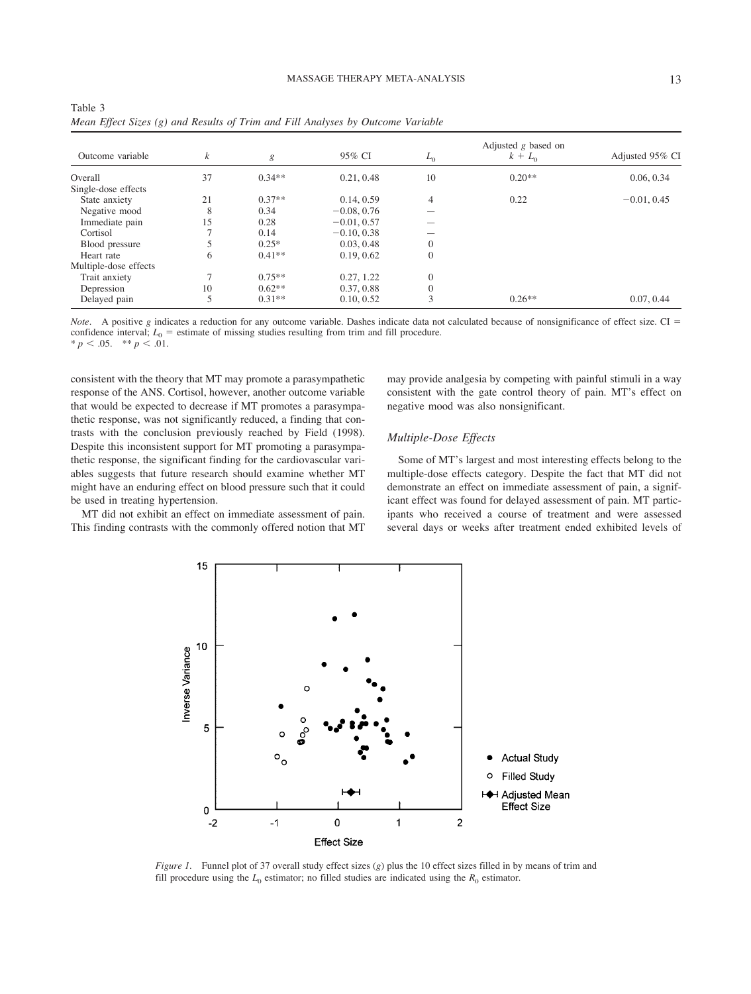| Table 3                                                                         |  |
|---------------------------------------------------------------------------------|--|
| Mean Effect Sizes (g) and Results of Trim and Fill Analyses by Outcome Variable |  |

| Outcome variable      | $\mathcal{K}$ | g        | 95% CI        | $L_0$        | Adjusted $g$ based on<br>$k + L_0$ | Adjusted 95% CI |
|-----------------------|---------------|----------|---------------|--------------|------------------------------------|-----------------|
| Overall               | 37            | $0.34**$ | 0.21, 0.48    | 10           | $0.20**$                           | 0.06, 0.34      |
| Single-dose effects   |               |          |               |              |                                    |                 |
| State anxiety         | 21            | $0.37**$ | 0.14, 0.59    | 4            | 0.22                               | $-0.01, 0.45$   |
| Negative mood         | 8             | 0.34     | $-0.08, 0.76$ |              |                                    |                 |
| Immediate pain        | 15            | 0.28     | $-0.01, 0.57$ |              |                                    |                 |
| Cortisol              |               | 0.14     | $-0.10, 0.38$ |              |                                    |                 |
| Blood pressure        |               | $0.25*$  | 0.03, 0.48    | 0            |                                    |                 |
| Heart rate            | 6             | $0.41**$ | 0.19, 0.62    | $\mathbf{0}$ |                                    |                 |
| Multiple-dose effects |               |          |               |              |                                    |                 |
| Trait anxiety         |               | $0.75**$ | 0.27, 1.22    | 0            |                                    |                 |
| Depression            | 10            | $0.62**$ | 0.37, 0.88    | 0            |                                    |                 |
| Delayed pain          |               | $0.31**$ | 0.10, 0.52    | 3            | $0.26**$                           | 0.07, 0.44      |

*Note.* A positive *g* indicates a reduction for any outcome variable. Dashes indicate data not calculated because of nonsignificance of effect size.  $CI =$ confidence interval;  $L_0$  = estimate of missing studies resulting from trim and fill procedure.  $* p < .05.$  \*\*  $p < .01.$ 

consistent with the theory that MT may promote a parasympathetic response of the ANS. Cortisol, however, another outcome variable that would be expected to decrease if MT promotes a parasympathetic response, was not significantly reduced, a finding that contrasts with the conclusion previously reached by Field (1998). Despite this inconsistent support for MT promoting a parasympathetic response, the significant finding for the cardiovascular variables suggests that future research should examine whether MT might have an enduring effect on blood pressure such that it could be used in treating hypertension.

MT did not exhibit an effect on immediate assessment of pain. This finding contrasts with the commonly offered notion that MT may provide analgesia by competing with painful stimuli in a way consistent with the gate control theory of pain. MT's effect on negative mood was also nonsignificant.

# *Multiple-Dose Effects*

Some of MT's largest and most interesting effects belong to the multiple-dose effects category. Despite the fact that MT did not demonstrate an effect on immediate assessment of pain, a significant effect was found for delayed assessment of pain. MT participants who received a course of treatment and were assessed several days or weeks after treatment ended exhibited levels of



*Figure 1.* Funnel plot of 37 overall study effect sizes (*g*) plus the 10 effect sizes filled in by means of trim and fill procedure using the  $L_0$  estimator; no filled studies are indicated using the  $R_0$  estimator.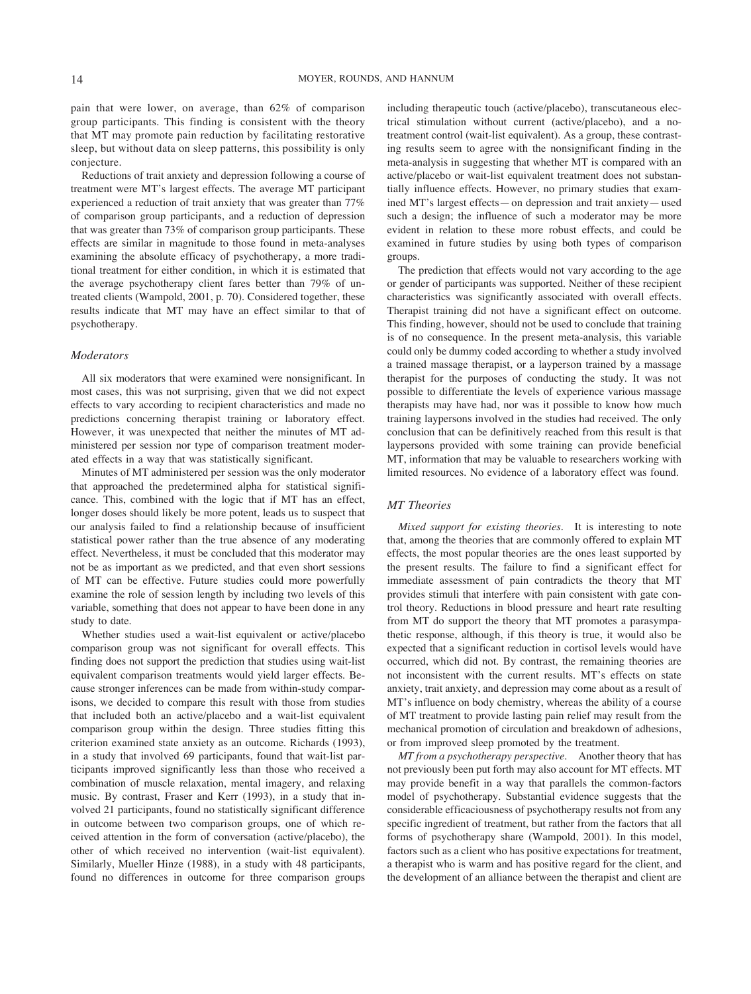pain that were lower, on average, than 62% of comparison group participants. This finding is consistent with the theory that MT may promote pain reduction by facilitating restorative sleep, but without data on sleep patterns, this possibility is only conjecture.

Reductions of trait anxiety and depression following a course of treatment were MT's largest effects. The average MT participant experienced a reduction of trait anxiety that was greater than 77% of comparison group participants, and a reduction of depression that was greater than 73% of comparison group participants. These effects are similar in magnitude to those found in meta-analyses examining the absolute efficacy of psychotherapy, a more traditional treatment for either condition, in which it is estimated that the average psychotherapy client fares better than 79% of untreated clients (Wampold, 2001, p. 70). Considered together, these results indicate that MT may have an effect similar to that of psychotherapy.

# *Moderators*

All six moderators that were examined were nonsignificant. In most cases, this was not surprising, given that we did not expect effects to vary according to recipient characteristics and made no predictions concerning therapist training or laboratory effect. However, it was unexpected that neither the minutes of MT administered per session nor type of comparison treatment moderated effects in a way that was statistically significant.

Minutes of MT administered per session was the only moderator that approached the predetermined alpha for statistical significance. This, combined with the logic that if MT has an effect, longer doses should likely be more potent, leads us to suspect that our analysis failed to find a relationship because of insufficient statistical power rather than the true absence of any moderating effect. Nevertheless, it must be concluded that this moderator may not be as important as we predicted, and that even short sessions of MT can be effective. Future studies could more powerfully examine the role of session length by including two levels of this variable, something that does not appear to have been done in any study to date.

Whether studies used a wait-list equivalent or active/placebo comparison group was not significant for overall effects. This finding does not support the prediction that studies using wait-list equivalent comparison treatments would yield larger effects. Because stronger inferences can be made from within-study comparisons, we decided to compare this result with those from studies that included both an active/placebo and a wait-list equivalent comparison group within the design. Three studies fitting this criterion examined state anxiety as an outcome. Richards (1993), in a study that involved 69 participants, found that wait-list participants improved significantly less than those who received a combination of muscle relaxation, mental imagery, and relaxing music. By contrast, Fraser and Kerr (1993), in a study that involved 21 participants, found no statistically significant difference in outcome between two comparison groups, one of which received attention in the form of conversation (active/placebo), the other of which received no intervention (wait-list equivalent). Similarly, Mueller Hinze (1988), in a study with 48 participants, found no differences in outcome for three comparison groups including therapeutic touch (active/placebo), transcutaneous electrical stimulation without current (active/placebo), and a notreatment control (wait-list equivalent). As a group, these contrasting results seem to agree with the nonsignificant finding in the meta-analysis in suggesting that whether MT is compared with an active/placebo or wait-list equivalent treatment does not substantially influence effects. However, no primary studies that examined MT's largest effects—on depression and trait anxiety—used such a design; the influence of such a moderator may be more evident in relation to these more robust effects, and could be examined in future studies by using both types of comparison groups.

The prediction that effects would not vary according to the age or gender of participants was supported. Neither of these recipient characteristics was significantly associated with overall effects. Therapist training did not have a significant effect on outcome. This finding, however, should not be used to conclude that training is of no consequence. In the present meta-analysis, this variable could only be dummy coded according to whether a study involved a trained massage therapist, or a layperson trained by a massage therapist for the purposes of conducting the study. It was not possible to differentiate the levels of experience various massage therapists may have had, nor was it possible to know how much training laypersons involved in the studies had received. The only conclusion that can be definitively reached from this result is that laypersons provided with some training can provide beneficial MT, information that may be valuable to researchers working with limited resources. No evidence of a laboratory effect was found.

# *MT Theories*

*Mixed support for existing theories.* It is interesting to note that, among the theories that are commonly offered to explain MT effects, the most popular theories are the ones least supported by the present results. The failure to find a significant effect for immediate assessment of pain contradicts the theory that MT provides stimuli that interfere with pain consistent with gate control theory. Reductions in blood pressure and heart rate resulting from MT do support the theory that MT promotes a parasympathetic response, although, if this theory is true, it would also be expected that a significant reduction in cortisol levels would have occurred, which did not. By contrast, the remaining theories are not inconsistent with the current results. MT's effects on state anxiety, trait anxiety, and depression may come about as a result of MT's influence on body chemistry, whereas the ability of a course of MT treatment to provide lasting pain relief may result from the mechanical promotion of circulation and breakdown of adhesions, or from improved sleep promoted by the treatment.

*MT from a psychotherapy perspective.* Another theory that has not previously been put forth may also account for MT effects. MT may provide benefit in a way that parallels the common-factors model of psychotherapy. Substantial evidence suggests that the considerable efficaciousness of psychotherapy results not from any specific ingredient of treatment, but rather from the factors that all forms of psychotherapy share (Wampold, 2001). In this model, factors such as a client who has positive expectations for treatment, a therapist who is warm and has positive regard for the client, and the development of an alliance between the therapist and client are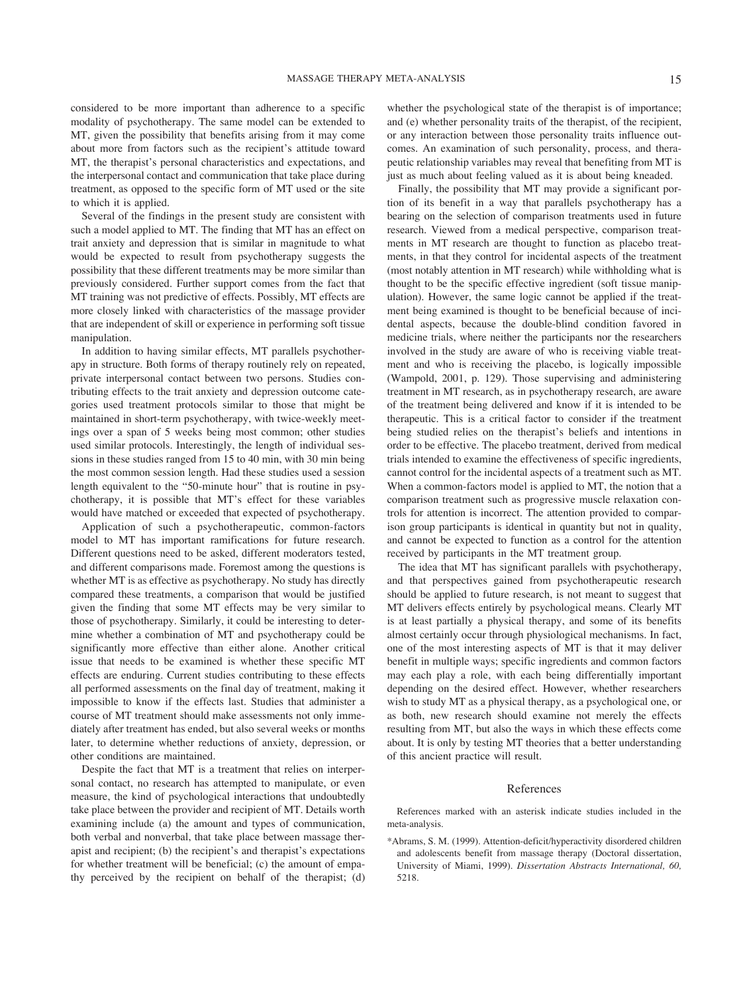considered to be more important than adherence to a specific modality of psychotherapy. The same model can be extended to MT, given the possibility that benefits arising from it may come about more from factors such as the recipient's attitude toward MT, the therapist's personal characteristics and expectations, and the interpersonal contact and communication that take place during treatment, as opposed to the specific form of MT used or the site to which it is applied.

Several of the findings in the present study are consistent with such a model applied to MT. The finding that MT has an effect on trait anxiety and depression that is similar in magnitude to what would be expected to result from psychotherapy suggests the possibility that these different treatments may be more similar than previously considered. Further support comes from the fact that MT training was not predictive of effects. Possibly, MT effects are more closely linked with characteristics of the massage provider that are independent of skill or experience in performing soft tissue manipulation.

In addition to having similar effects, MT parallels psychotherapy in structure. Both forms of therapy routinely rely on repeated, private interpersonal contact between two persons. Studies contributing effects to the trait anxiety and depression outcome categories used treatment protocols similar to those that might be maintained in short-term psychotherapy, with twice-weekly meetings over a span of 5 weeks being most common; other studies used similar protocols. Interestingly, the length of individual sessions in these studies ranged from 15 to 40 min, with 30 min being the most common session length. Had these studies used a session length equivalent to the "50-minute hour" that is routine in psychotherapy, it is possible that MT's effect for these variables would have matched or exceeded that expected of psychotherapy.

Application of such a psychotherapeutic, common-factors model to MT has important ramifications for future research. Different questions need to be asked, different moderators tested, and different comparisons made. Foremost among the questions is whether MT is as effective as psychotherapy. No study has directly compared these treatments, a comparison that would be justified given the finding that some MT effects may be very similar to those of psychotherapy. Similarly, it could be interesting to determine whether a combination of MT and psychotherapy could be significantly more effective than either alone. Another critical issue that needs to be examined is whether these specific MT effects are enduring. Current studies contributing to these effects all performed assessments on the final day of treatment, making it impossible to know if the effects last. Studies that administer a course of MT treatment should make assessments not only immediately after treatment has ended, but also several weeks or months later, to determine whether reductions of anxiety, depression, or other conditions are maintained.

Despite the fact that MT is a treatment that relies on interpersonal contact, no research has attempted to manipulate, or even measure, the kind of psychological interactions that undoubtedly take place between the provider and recipient of MT. Details worth examining include (a) the amount and types of communication, both verbal and nonverbal, that take place between massage therapist and recipient; (b) the recipient's and therapist's expectations for whether treatment will be beneficial; (c) the amount of empathy perceived by the recipient on behalf of the therapist; (d) whether the psychological state of the therapist is of importance; and (e) whether personality traits of the therapist, of the recipient, or any interaction between those personality traits influence outcomes. An examination of such personality, process, and therapeutic relationship variables may reveal that benefiting from MT is just as much about feeling valued as it is about being kneaded.

Finally, the possibility that MT may provide a significant portion of its benefit in a way that parallels psychotherapy has a bearing on the selection of comparison treatments used in future research. Viewed from a medical perspective, comparison treatments in MT research are thought to function as placebo treatments, in that they control for incidental aspects of the treatment (most notably attention in MT research) while withholding what is thought to be the specific effective ingredient (soft tissue manipulation). However, the same logic cannot be applied if the treatment being examined is thought to be beneficial because of incidental aspects, because the double-blind condition favored in medicine trials, where neither the participants nor the researchers involved in the study are aware of who is receiving viable treatment and who is receiving the placebo, is logically impossible (Wampold, 2001, p. 129). Those supervising and administering treatment in MT research, as in psychotherapy research, are aware of the treatment being delivered and know if it is intended to be therapeutic. This is a critical factor to consider if the treatment being studied relies on the therapist's beliefs and intentions in order to be effective. The placebo treatment, derived from medical trials intended to examine the effectiveness of specific ingredients, cannot control for the incidental aspects of a treatment such as MT. When a common-factors model is applied to MT, the notion that a comparison treatment such as progressive muscle relaxation controls for attention is incorrect. The attention provided to comparison group participants is identical in quantity but not in quality, and cannot be expected to function as a control for the attention received by participants in the MT treatment group.

The idea that MT has significant parallels with psychotherapy, and that perspectives gained from psychotherapeutic research should be applied to future research, is not meant to suggest that MT delivers effects entirely by psychological means. Clearly MT is at least partially a physical therapy, and some of its benefits almost certainly occur through physiological mechanisms. In fact, one of the most interesting aspects of MT is that it may deliver benefit in multiple ways; specific ingredients and common factors may each play a role, with each being differentially important depending on the desired effect. However, whether researchers wish to study MT as a physical therapy, as a psychological one, or as both, new research should examine not merely the effects resulting from MT, but also the ways in which these effects come about. It is only by testing MT theories that a better understanding of this ancient practice will result.

#### References

References marked with an asterisk indicate studies included in the meta-analysis.

\*Abrams, S. M. (1999). Attention-deficit/hyperactivity disordered children and adolescents benefit from massage therapy (Doctoral dissertation, University of Miami, 1999). *Dissertation Abstracts International, 60,* 5218.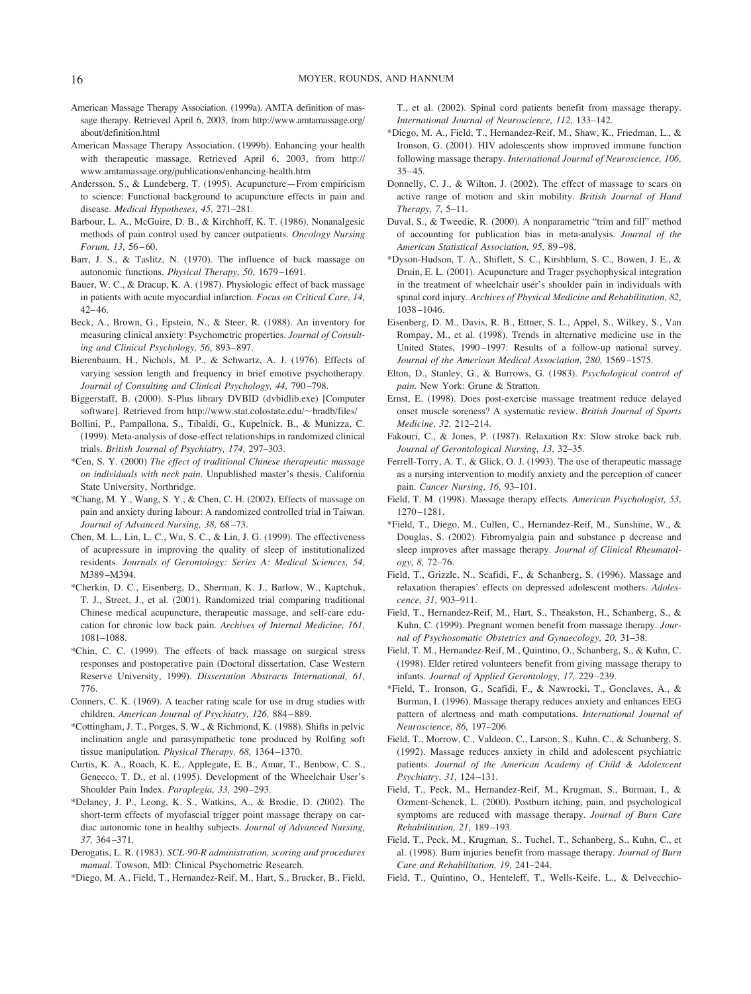- American Massage Therapy Association. (1999a). AMTA definition of massage therapy. Retrieved April 6, 2003, from http://www.amtamassage.org/ about/definition.html
- American Massage Therapy Association. (1999b). Enhancing your health with therapeutic massage. Retrieved April 6, 2003, from http:// www.amtamassage.org/publications/enhancing-health.htm
- Andersson, S., & Lundeberg, T. (1995). Acupuncture—From empiricism to science: Functional background to acupuncture effects in pain and disease. *Medical Hypotheses, 45,* 271–281.
- Barbour, L. A., McGuire, D. B., & Kirchhoff, K. T. (1986). Nonanalgesic methods of pain control used by cancer outpatients. *Oncology Nursing Forum, 13,* 56–60.
- Barr, J. S., & Taslitz, N. (1970). The influence of back massage on autonomic functions. *Physical Therapy, 50,* 1679–1691.
- Bauer, W. C., & Dracup, K. A. (1987). Physiologic effect of back massage in patients with acute myocardial infarction. *Focus on Critical Care, 14,* 42–46.
- Beck, A., Brown, G., Epstein, N., & Steer, R. (1988). An inventory for measuring clinical anxiety: Psychometric properties. *Journal of Consulting and Clinical Psychology, 56,* 893–897.
- Bierenbaum, H., Nichols, M. P., & Schwartz, A. J. (1976). Effects of varying session length and frequency in brief emotive psychotherapy. *Journal of Consulting and Clinical Psychology, 44,* 790–798.
- Biggerstaff, B. (2000). S-Plus library DVBID (dvbidlib.exe) [Computer software]. Retrieved from http://www.stat.colostate.edu/~bradb/files/
- Bollini, P., Pampallona, S., Tibaldi, G., Kupelnick, B., & Munizza, C. (1999). Meta-analysis of dose-effect relationships in randomized clinical trials. *British Journal of Psychiatry, 174,* 297–303.
- \*Cen, S. Y. (2000) *The effect of traditional Chinese therapeutic massage on individuals with neck pain.* Unpublished master's thesis, California State University, Northridge.
- \*Chang, M. Y., Wang, S. Y., & Chen, C. H. (2002). Effects of massage on pain and anxiety during labour: A randomized controlled trial in Taiwan. *Journal of Advanced Nursing, 38,* 68–73.
- Chen, M. L., Lin, L. C., Wu, S. C., & Lin, J. G. (1999). The effectiveness of acupressure in improving the quality of sleep of institutionalized residents. *Journals of Gerontology: Series A: Medical Sciences, 54,* M389–M394.
- \*Cherkin, D. C., Eisenberg, D., Sherman, K. J., Barlow, W., Kaptchuk, T. J., Street, J., et al. (2001). Randomized trial comparing traditional Chinese medical acupuncture, therapeutic massage, and self-care education for chronic low back pain. *Archives of Internal Medicine, 161,* 1081–1088.
- \*Chin, C. C. (1999). The effects of back massage on surgical stress responses and postoperative pain (Doctoral dissertation, Case Western Reserve University, 1999). *Dissertation Abstracts International, 61,* 776.
- Conners, C. K. (1969). A teacher rating scale for use in drug studies with children. *American Journal of Psychiatry, 126,* 884–889.
- \*Cottingham, J. T., Porges, S. W., & Richmond, K. (1988). Shifts in pelvic inclination angle and parasympathetic tone produced by Rolfing soft tissue manipulation. *Physical Therapy, 68,* 1364–1370.
- Curtis, K. A., Roach, K. E., Applegate, E. B., Amar, T., Benbow, C. S., Genecco, T. D., et al. (1995). Development of the Wheelchair User's Shoulder Pain Index. *Paraplegia, 33,* 290–293.
- \*Delaney, J. P., Leong, K. S., Watkins, A., & Brodie, D. (2002). The short-term effects of myofascial trigger point massage therapy on cardiac autonomic tone in healthy subjects. *Journal of Advanced Nursing, 37,* 364–371.
- Derogatis, L. R. (1983). *SCL-90-R administration, scoring and procedures manual.* Towson, MD: Clinical Psychometric Research.
- \*Diego, M. A., Field, T., Hernandez-Reif, M., Hart, S., Brucker, B., Field,

T., et al. (2002). Spinal cord patients benefit from massage therapy. *International Journal of Neuroscience, 112,* 133–142.

- \*Diego, M. A., Field, T., Hernandez-Reif, M., Shaw, K., Friedman, L., & Ironson, G. (2001). HIV adolescents show improved immune function following massage therapy. *International Journal of Neuroscience, 106,* 35–45.
- Donnelly, C. J., & Wilton, J. (2002). The effect of massage to scars on active range of motion and skin mobility. *British Journal of Hand Therapy, 7,* 5–11.
- Duval, S., & Tweedie, R. (2000). A nonparametric "trim and fill" method of accounting for publication bias in meta-analysis. *Journal of the American Statistical Association, 95,* 89–98.
- \*Dyson-Hudson, T. A., Shiflett, S. C., Kirshblum, S. C., Bowen, J. E., & Druin, E. L. (2001). Acupuncture and Trager psychophysical integration in the treatment of wheelchair user's shoulder pain in individuals with spinal cord injury. *Archives of Physical Medicine and Rehabilitation, 82,* 1038–1046.
- Eisenberg, D. M., Davis, R. B., Ettner, S. L., Appel, S., Wilkey, S., Van Rompay, M., et al. (1998). Trends in alternative medicine use in the United States, 1990–1997: Results of a follow-up national survey. *Journal of the American Medical Association, 280,* 1569–1575.
- Elton, D., Stanley, G., & Burrows, G. (1983). *Psychological control of pain.* New York: Grune & Stratton.
- Ernst, E. (1998). Does post-exercise massage treatment reduce delayed onset muscle soreness? A systematic review. *British Journal of Sports Medicine, 32,* 212–214.
- Fakouri, C., & Jones, P. (1987). Relaxation Rx: Slow stroke back rub. *Journal of Gerontological Nursing, 13,* 32–35.
- Ferrell-Torry, A. T., & Glick, O. J. (1993). The use of therapeutic massage as a nursing intervention to modify anxiety and the perception of cancer pain. *Cancer Nursing, 16,* 93–101.
- Field, T. M. (1998). Massage therapy effects. *American Psychologist, 53,* 1270–1281.
- \*Field, T., Diego, M., Cullen, C., Hernandez-Reif, M., Sunshine, W., & Douglas, S. (2002). Fibromyalgia pain and substance p decrease and sleep improves after massage therapy. *Journal of Clinical Rheumatology, 8,* 72–76.
- Field, T., Grizzle, N., Scafidi, F., & Schanberg, S. (1996). Massage and relaxation therapies' effects on depressed adolescent mothers. *Adolescence, 31,* 903–911.
- Field, T., Hernandez-Reif, M., Hart, S., Theakston, H., Schanberg, S., & Kuhn, C. (1999). Pregnant women benefit from massage therapy. *Journal of Psychosomatic Obstetrics and Gynaecology, 20,* 31–38.
- Field, T. M., Hernandez-Reif, M., Quintino, O., Schanberg, S., & Kuhn, C. (1998). Elder retired volunteers benefit from giving massage therapy to infants. *Journal of Applied Gerontology, 17,* 229–239.
- \*Field, T., Ironson, G., Scafidi, F., & Nawrocki, T., Gonclaves, A., & Burman, I. (1996). Massage therapy reduces anxiety and enhances EEG pattern of alertness and math computations. *International Journal of Neuroscience, 86,* 197–206.
- Field, T., Morrow, C., Valdeon, C., Larson, S., Kuhn, C., & Schanberg, S. (1992). Massage reduces anxiety in child and adolescent psychiatric patients. *Journal of the American Academy of Child & Adolescent Psychiatry, 31,* 124–131.
- Field, T., Peck, M., Hernandez-Reif, M., Krugman, S., Burman, I., & Ozment-Schenck, L. (2000). Postburn itching, pain, and psychological symptoms are reduced with massage therapy. *Journal of Burn Care Rehabilitation, 21,* 189–193.
- Field, T., Peck, M., Krugman, S., Tuchel, T., Schanberg, S., Kuhn, C., et al. (1998). Burn injuries benefit from massage therapy. *Journal of Burn Care and Rehabilitation, 19,* 241–244.
- Field, T., Quintino, O., Henteleff, T., Wells-Keife, L., & Delvecchio-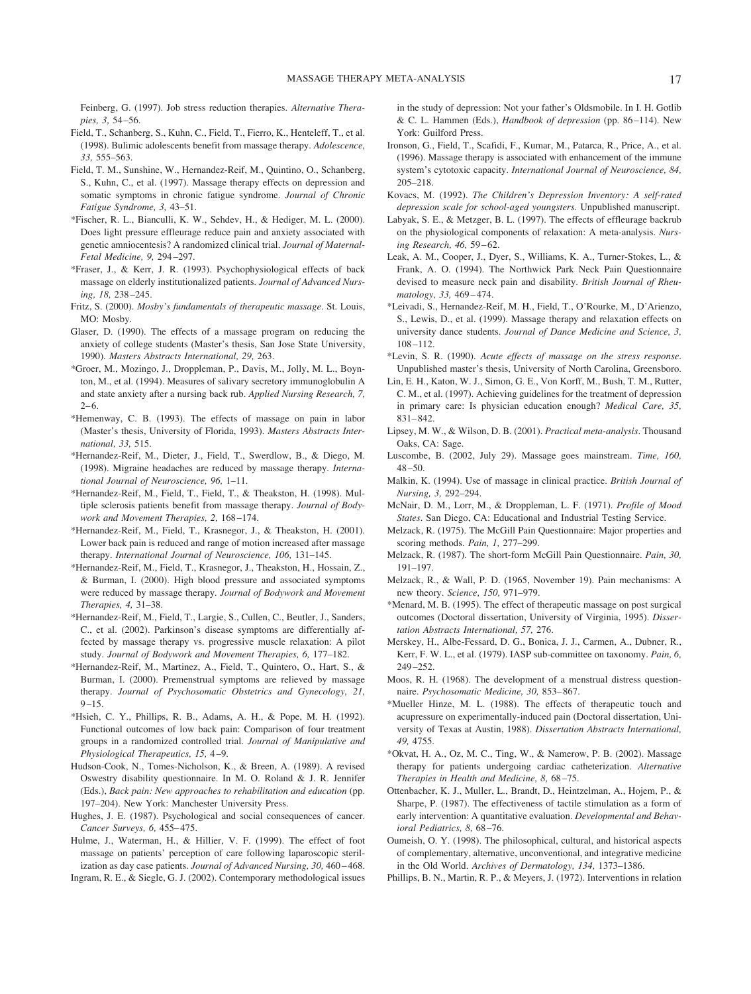Feinberg, G. (1997). Job stress reduction therapies. *Alternative Therapies, 3,* 54–56.

- Field, T., Schanberg, S., Kuhn, C., Field, T., Fierro, K., Henteleff, T., et al. (1998). Bulimic adolescents benefit from massage therapy. *Adolescence, 33,* 555–563.
- Field, T. M., Sunshine, W., Hernandez-Reif, M., Quintino, O., Schanberg, S., Kuhn, C., et al. (1997). Massage therapy effects on depression and somatic symptoms in chronic fatigue syndrome. *Journal of Chronic Fatigue Syndrome, 3,* 43–51.
- \*Fischer, R. L., Bianculli, K. W., Sehdev, H., & Hediger, M. L. (2000). Does light pressure effleurage reduce pain and anxiety associated with genetic amniocentesis? A randomized clinical trial. *Journal of Maternal-Fetal Medicine, 9,* 294–297.
- \*Fraser, J., & Kerr, J. R. (1993). Psychophysiological effects of back massage on elderly institutionalized patients. *Journal of Advanced Nursing, 18,* 238–245.
- Fritz, S. (2000). *Mosby's fundamentals of therapeutic massage.* St. Louis, MO: Mosby.
- Glaser, D. (1990). The effects of a massage program on reducing the anxiety of college students (Master's thesis, San Jose State University, 1990). *Masters Abstracts International, 29,* 263.
- \*Groer, M., Mozingo, J., Droppleman, P., Davis, M., Jolly, M. L., Boynton, M., et al. (1994). Measures of salivary secretory immunoglobulin A and state anxiety after a nursing back rub. *Applied Nursing Research, 7,*  $2-6$ .
- \*Hemenway, C. B. (1993). The effects of massage on pain in labor (Master's thesis, University of Florida, 1993). *Masters Abstracts International, 33,* 515.
- \*Hernandez-Reif, M., Dieter, J., Field, T., Swerdlow, B., & Diego, M. (1998). Migraine headaches are reduced by massage therapy. *International Journal of Neuroscience, 96,* 1–11.
- \*Hernandez-Reif, M., Field, T., Field, T., & Theakston, H. (1998). Multiple sclerosis patients benefit from massage therapy. *Journal of Bodywork and Movement Therapies, 2,* 168–174.
- \*Hernandez-Reif, M., Field, T., Krasnegor, J., & Theakston, H. (2001). Lower back pain is reduced and range of motion increased after massage therapy. *International Journal of Neuroscience, 106,* 131–145.
- \*Hernandez-Reif, M., Field, T., Krasnegor, J., Theakston, H., Hossain, Z., & Burman, I. (2000). High blood pressure and associated symptoms were reduced by massage therapy. *Journal of Bodywork and Movement Therapies, 4,* 31–38.
- \*Hernandez-Reif, M., Field, T., Largie, S., Cullen, C., Beutler, J., Sanders, C., et al. (2002). Parkinson's disease symptoms are differentially affected by massage therapy vs. progressive muscle relaxation: A pilot study. *Journal of Bodywork and Movement Therapies, 6,* 177–182.
- \*Hernandez-Reif, M., Martinez, A., Field, T., Quintero, O., Hart, S., & Burman, I. (2000). Premenstrual symptoms are relieved by massage therapy. *Journal of Psychosomatic Obstetrics and Gynecology, 21,*  $9 - 15$ .
- \*Hsieh, C. Y., Phillips, R. B., Adams, A. H., & Pope, M. H. (1992). Functional outcomes of low back pain: Comparison of four treatment groups in a randomized controlled trial. *Journal of Manipulative and Physiological Therapeutics, 15,* 4–9.
- Hudson-Cook, N., Tomes-Nicholson, K., & Breen, A. (1989). A revised Oswestry disability questionnaire. In M. O. Roland & J. R. Jennifer (Eds.), *Back pain: New approaches to rehabilitation and education* (pp. 197–204). New York: Manchester University Press.
- Hughes, J. E. (1987). Psychological and social consequences of cancer. *Cancer Surveys, 6,* 455–475.
- Hulme, J., Waterman, H., & Hillier, V. F. (1999). The effect of foot massage on patients' perception of care following laparoscopic sterilization as day case patients. *Journal of Advanced Nursing, 30,* 460–468.

Ingram, R. E., & Siegle, G. J. (2002). Contemporary methodological issues

in the study of depression: Not your father's Oldsmobile. In I. H. Gotlib & C. L. Hammen (Eds.), *Handbook of depression* (pp. 86–114). New York: Guilford Press.

- Ironson, G., Field, T., Scafidi, F., Kumar, M., Patarca, R., Price, A., et al. (1996). Massage therapy is associated with enhancement of the immune system's cytotoxic capacity. *International Journal of Neuroscience, 84,* 205–218.
- Kovacs, M. (1992). *The Children's Depression Inventory: A self-rated depression scale for school-aged youngsters.* Unpublished manuscript.
- Labyak, S. E., & Metzger, B. L. (1997). The effects of effleurage backrub on the physiological components of relaxation: A meta-analysis. *Nursing Research, 46,* 59–62.
- Leak, A. M., Cooper, J., Dyer, S., Williams, K. A., Turner-Stokes, L., & Frank, A. O. (1994). The Northwick Park Neck Pain Questionnaire devised to measure neck pain and disability. *British Journal of Rheumatology, 33,* 469–474.
- \*Leivadi, S., Hernandez-Reif, M. H., Field, T., O'Rourke, M., D'Arienzo, S., Lewis, D., et al. (1999). Massage therapy and relaxation effects on university dance students. *Journal of Dance Medicine and Science, 3,* 108–112.
- \*Levin, S. R. (1990). *Acute effects of massage on the stress response.* Unpublished master's thesis, University of North Carolina, Greensboro.
- Lin, E. H., Katon, W. J., Simon, G. E., Von Korff, M., Bush, T. M., Rutter, C. M., et al. (1997). Achieving guidelines for the treatment of depression in primary care: Is physician education enough? *Medical Care, 35,* 831–842.
- Lipsey, M. W., & Wilson, D. B. (2001). *Practical meta-analysis.* Thousand Oaks, CA: Sage.
- Luscombe, B. (2002, July 29). Massage goes mainstream. *Time, 160,* 48–50.
- Malkin, K. (1994). Use of massage in clinical practice. *British Journal of Nursing, 3,* 292–294.
- McNair, D. M., Lorr, M., & Droppleman, L. F. (1971). *Profile of Mood States.* San Diego, CA: Educational and Industrial Testing Service.
- Melzack, R. (1975). The McGill Pain Questionnaire: Major properties and scoring methods. *Pain, 1,* 277–299.
- Melzack, R. (1987). The short-form McGill Pain Questionnaire. *Pain, 30,* 191–197.
- Melzack, R., & Wall, P. D. (1965, November 19). Pain mechanisms: A new theory. *Science, 150,* 971–979.
- \*Menard, M. B. (1995). The effect of therapeutic massage on post surgical outcomes (Doctoral dissertation, University of Virginia, 1995). *Dissertation Abstracts International, 57,* 276.
- Merskey, H., Albe-Fessard, D. G., Bonica, J. J., Carmen, A., Dubner, R., Kerr, F. W. L., et al. (1979). IASP sub-committee on taxonomy. *Pain, 6,* 249–252.
- Moos, R. H. (1968). The development of a menstrual distress questionnaire. *Psychosomatic Medicine, 30,* 853–867.
- \*Mueller Hinze, M. L. (1988). The effects of therapeutic touch and acupressure on experimentally-induced pain (Doctoral dissertation, University of Texas at Austin, 1988). *Dissertation Abstracts International, 49,* 4755.
- \*Okvat, H. A., Oz, M. C., Ting, W., & Namerow, P. B. (2002). Massage therapy for patients undergoing cardiac catheterization. *Alternative Therapies in Health and Medicine, 8,* 68–75.
- Ottenbacher, K. J., Muller, L., Brandt, D., Heintzelman, A., Hojem, P., & Sharpe, P. (1987). The effectiveness of tactile stimulation as a form of early intervention: A quantitative evaluation. *Developmental and Behavioral Pediatrics, 8,* 68–76.
- Oumeish, O. Y. (1998). The philosophical, cultural, and historical aspects of complementary, alternative, unconventional, and integrative medicine in the Old World. *Archives of Dermatology, 134,* 1373–1386.
- Phillips, B. N., Martin, R. P., & Meyers, J. (1972). Interventions in relation